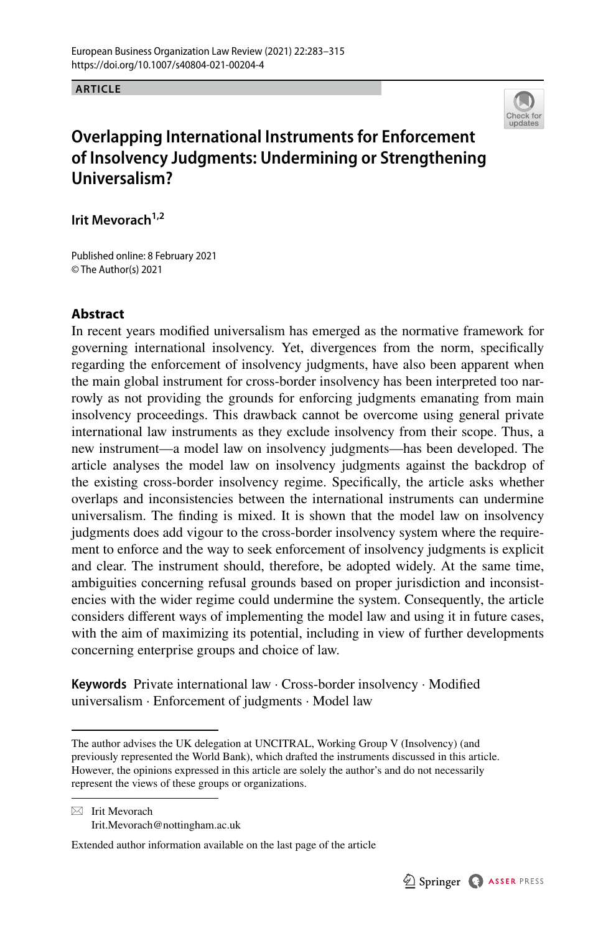**ARTICLE**



# **Overlapping International Instruments for Enforcement of Insolvency Judgments: Undermining or Strengthening Universalism?**

**Irit Mevorach1,2**

Published online: 8 February 2021 © The Author(s) 2021

# **Abstract**

In recent years modifed universalism has emerged as the normative framework for governing international insolvency. Yet, divergences from the norm, specifcally regarding the enforcement of insolvency judgments, have also been apparent when the main global instrument for cross-border insolvency has been interpreted too narrowly as not providing the grounds for enforcing judgments emanating from main insolvency proceedings. This drawback cannot be overcome using general private international law instruments as they exclude insolvency from their scope. Thus, a new instrument—a model law on insolvency judgments—has been developed. The article analyses the model law on insolvency judgments against the backdrop of the existing cross-border insolvency regime. Specifcally, the article asks whether overlaps and inconsistencies between the international instruments can undermine universalism. The fnding is mixed. It is shown that the model law on insolvency judgments does add vigour to the cross-border insolvency system where the requirement to enforce and the way to seek enforcement of insolvency judgments is explicit and clear. The instrument should, therefore, be adopted widely. At the same time, ambiguities concerning refusal grounds based on proper jurisdiction and inconsistencies with the wider regime could undermine the system. Consequently, the article considers diferent ways of implementing the model law and using it in future cases, with the aim of maximizing its potential, including in view of further developments concerning enterprise groups and choice of law.

**Keywords** Private international law · Cross-border insolvency · Modifed universalism · Enforcement of judgments · Model law

 $\boxtimes$  Irit Mevorach Irit.Mevorach@nottingham.ac.uk

Extended author information available on the last page of the article

The author advises the UK delegation at UNCITRAL, Working Group V (Insolvency) (and previously represented the World Bank), which drafted the instruments discussed in this article. However, the opinions expressed in this article are solely the author's and do not necessarily represent the views of these groups or organizations.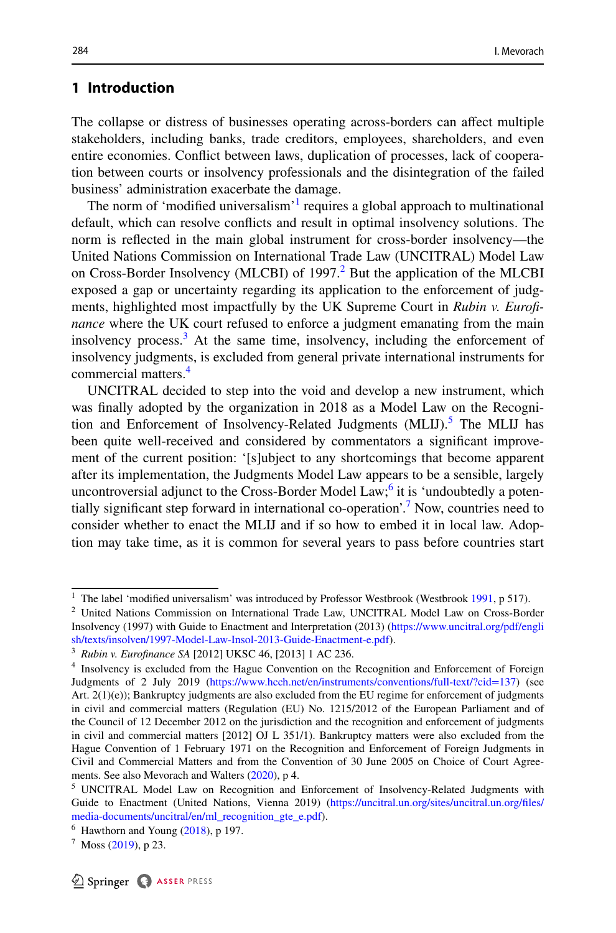# **1 Introduction**

The collapse or distress of businesses operating across-borders can afect multiple stakeholders, including banks, trade creditors, employees, shareholders, and even entire economies. Confict between laws, duplication of processes, lack of cooperation between courts or insolvency professionals and the disintegration of the failed business' administration exacerbate the damage.

The norm of 'modified universalism'<sup>[1](#page-1-0)</sup> requires a global approach to multinational default, which can resolve conficts and result in optimal insolvency solutions. The norm is refected in the main global instrument for cross-border insolvency—the United Nations Commission on International Trade Law (UNCITRAL) Model Law on Cross-Border Insolvency (MLCBI) of 1997.<sup>[2](#page-1-1)</sup> But the application of the MLCBI exposed a gap or uncertainty regarding its application to the enforcement of judgments, highlighted most impactfully by the UK Supreme Court in *Rubin v. Eurofnance* where the UK court refused to enforce a judgment emanating from the main insolvency process.[3](#page-1-2) At the same time, insolvency, including the enforcement of insolvency judgments, is excluded from general private international instruments for commercial matters.[4](#page-1-3)

UNCITRAL decided to step into the void and develop a new instrument, which was fnally adopted by the organization in 2018 as a Model Law on the Recogni-tion and Enforcement of Insolvency-Related Judgments (MLIJ).<sup>[5](#page-1-4)</sup> The MLIJ has been quite well-received and considered by commentators a signifcant improvement of the current position: '[s]ubject to any shortcomings that become apparent after its implementation, the Judgments Model Law appears to be a sensible, largely uncontroversial adjunct to the Cross-Border Model Law;<sup>6</sup> it is 'undoubtedly a potentially signifcant step forward in international co-operation'.[7](#page-1-6) Now, countries need to consider whether to enact the MLIJ and if so how to embed it in local law. Adoption may take time, as it is common for several years to pass before countries start

<span id="page-1-0"></span><sup>&</sup>lt;sup>1</sup> The label 'modified universalism' was introduced by Professor Westbrook (Westbrook [1991](#page-32-0), p 517).

<span id="page-1-1"></span><sup>2</sup> United Nations Commission on International Trade Law, UNCITRAL Model Law on Cross-Border Insolvency (1997) with Guide to Enactment and Interpretation (2013) [\(https://www.uncitral.org/pdf/engli](https://www.uncitral.org/pdf/english/texts/insolven/1997-Model-Law-Insol-2013-Guide-Enactment-e.pdf) [sh/texts/insolven/1997-Model-Law-Insol-2013-Guide-Enactment-e.pdf\)](https://www.uncitral.org/pdf/english/texts/insolven/1997-Model-Law-Insol-2013-Guide-Enactment-e.pdf).

<span id="page-1-2"></span><sup>3</sup> *Rubin v. Eurofnance SA* [2012] UKSC 46, [2013] 1 AC 236.

<span id="page-1-3"></span><sup>4</sup> Insolvency is excluded from the Hague Convention on the Recognition and Enforcement of Foreign Judgments of 2 July 2019 (<https://www.hcch.net/en/instruments/conventions/full-text/?cid=137>) (see Art.  $2(1)(e)$ ); Bankruptcy judgments are also excluded from the EU regime for enforcement of judgments in civil and commercial matters (Regulation (EU) No. 1215/2012 of the European Parliament and of the Council of 12 December 2012 on the jurisdiction and the recognition and enforcement of judgments in civil and commercial matters [2012] OJ L 351/1). Bankruptcy matters were also excluded from the Hague Convention of 1 February 1971 on the Recognition and Enforcement of Foreign Judgments in Civil and Commercial Matters and from the Convention of 30 June 2005 on Choice of Court Agreements. See also Mevorach and Walters [\(2020](#page-32-1)), p 4.

<span id="page-1-4"></span><sup>&</sup>lt;sup>5</sup> UNCITRAL Model Law on Recognition and Enforcement of Insolvency-Related Judgments with Guide to Enactment (United Nations, Vienna 2019) ([https://uncitral.un.org/sites/uncitral.un.org/fles/](https://uncitral.un.org/sites/uncitral.un.org/files/media-documents/uncitral/en/ml_recognition_gte_e.pdf) [media-documents/uncitral/en/ml\\_recognition\\_gte\\_e.pdf](https://uncitral.un.org/sites/uncitral.un.org/files/media-documents/uncitral/en/ml_recognition_gte_e.pdf)).

<span id="page-1-5"></span> $6$  Hawthorn and Young  $(2018)$  $(2018)$ , p 197.

<span id="page-1-6"></span> $^7$  Moss ([2019\)](#page-32-2), p 23.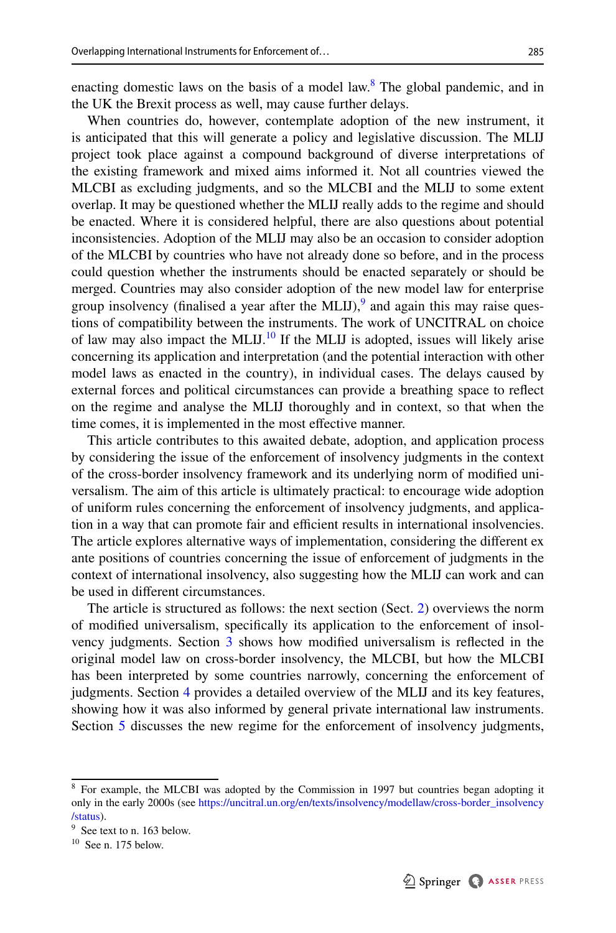enacting domestic laws on the basis of a model law.<sup>8</sup> The global pandemic, and in the UK the Brexit process as well, may cause further delays.

When countries do, however, contemplate adoption of the new instrument, it is anticipated that this will generate a policy and legislative discussion. The MLIJ project took place against a compound background of diverse interpretations of the existing framework and mixed aims informed it. Not all countries viewed the MLCBI as excluding judgments, and so the MLCBI and the MLIJ to some extent overlap. It may be questioned whether the MLIJ really adds to the regime and should be enacted. Where it is considered helpful, there are also questions about potential inconsistencies. Adoption of the MLIJ may also be an occasion to consider adoption of the MLCBI by countries who have not already done so before, and in the process could question whether the instruments should be enacted separately or should be merged. Countries may also consider adoption of the new model law for enterprise group insolvency (finalised a year after the MLIJ), $\frac{9}{2}$  and again this may raise questions of compatibility between the instruments. The work of UNCITRAL on choice of law may also impact the MLIJ.<sup>10</sup> If the MLIJ is adopted, issues will likely arise concerning its application and interpretation (and the potential interaction with other model laws as enacted in the country), in individual cases. The delays caused by external forces and political circumstances can provide a breathing space to refect on the regime and analyse the MLIJ thoroughly and in context, so that when the time comes, it is implemented in the most efective manner.

This article contributes to this awaited debate, adoption, and application process by considering the issue of the enforcement of insolvency judgments in the context of the cross-border insolvency framework and its underlying norm of modifed universalism. The aim of this article is ultimately practical: to encourage wide adoption of uniform rules concerning the enforcement of insolvency judgments, and application in a way that can promote fair and efficient results in international insolvencies. The article explores alternative ways of implementation, considering the diferent ex ante positions of countries concerning the issue of enforcement of judgments in the context of international insolvency, also suggesting how the MLIJ can work and can be used in diferent circumstances.

The article is structured as follows: the next section (Sect. [2\)](#page-3-0) overviews the norm of modifed universalism, specifcally its application to the enforcement of insolvency judgments. Section [3](#page-6-0) shows how modifed universalism is refected in the original model law on cross-border insolvency, the MLCBI, but how the MLCBI has been interpreted by some countries narrowly, concerning the enforcement of judgments. Section [4](#page-10-0) provides a detailed overview of the MLIJ and its key features, showing how it was also informed by general private international law instruments. Section [5](#page-15-0) discusses the new regime for the enforcement of insolvency judgments,

<span id="page-2-0"></span><sup>&</sup>lt;sup>8</sup> For example, the MLCBI was adopted by the Commission in 1997 but countries began adopting it only in the early 2000s (see [https://uncitral.un.org/en/texts/insolvency/modellaw/cross-border\\_insolvency](https://uncitral.un.org/en/texts/insolvency/modellaw/cross-border_insolvency/status) [/status](https://uncitral.un.org/en/texts/insolvency/modellaw/cross-border_insolvency/status)).

<span id="page-2-1"></span><sup>&</sup>lt;sup>9</sup> See text to n. 163 below.

<span id="page-2-2"></span> $10$  See n. 175 below.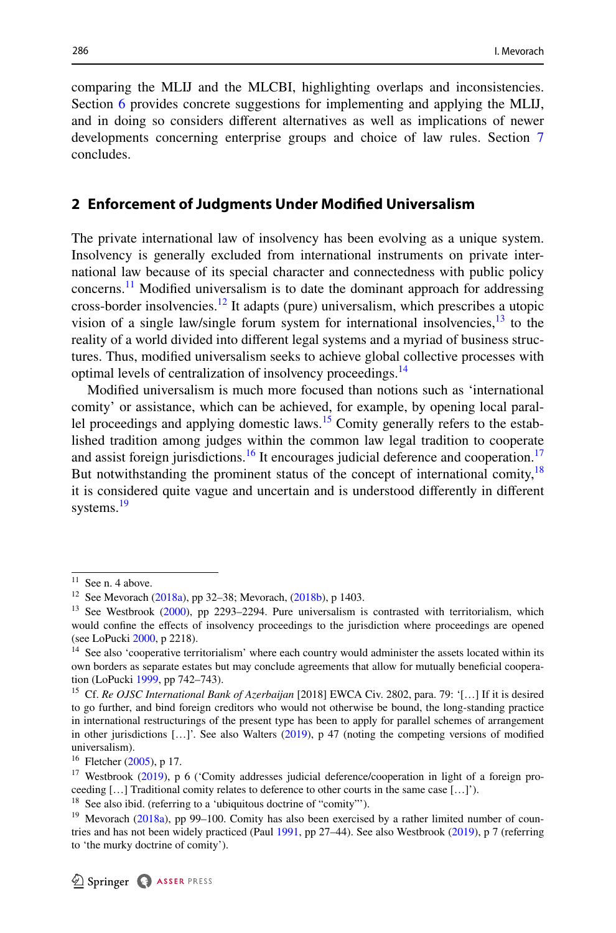comparing the MLIJ and the MLCBI, highlighting overlaps and inconsistencies. Section [6](#page-22-0) provides concrete suggestions for implementing and applying the MLIJ, and in doing so considers diferent alternatives as well as implications of newer developments concerning enterprise groups and choice of law rules. Section [7](#page-30-0) concludes.

### <span id="page-3-0"></span>**2 Enforcement of Judgments Under Modifed Universalism**

The private international law of insolvency has been evolving as a unique system. Insolvency is generally excluded from international instruments on private international law because of its special character and connectedness with public policy concerns.<sup>[11](#page-3-1)</sup> Modified universalism is to date the dominant approach for addressing cross-border insolvencies.<sup>12</sup> It adapts (pure) universalism, which prescribes a utopic vision of a single law/single forum system for international insolvencies, $13$  to the reality of a world divided into diferent legal systems and a myriad of business structures. Thus, modifed universalism seeks to achieve global collective processes with optimal levels of centralization of insolvency proceedings.<sup>14</sup>

Modifed universalism is much more focused than notions such as 'international comity' or assistance, which can be achieved, for example, by opening local parallel proceedings and applying domestic laws.<sup>15</sup> Comity generally refers to the established tradition among judges within the common law legal tradition to cooperate and assist foreign jurisdictions.<sup>[16](#page-3-6)</sup> It encourages judicial deference and cooperation.<sup>17</sup> But notwithstanding the prominent status of the concept of international comity,<sup>18</sup> it is considered quite vague and uncertain and is understood diferently in diferent systems.<sup>[19](#page-3-9)</sup>

<span id="page-3-1"></span> $11$  See n. 4 above.

<span id="page-3-2"></span><sup>12</sup> See Mevorach ([2018a](#page-31-1)), pp 32–38; Mevorach, ([2018b\)](#page-32-5), p 1403.

<span id="page-3-3"></span><sup>&</sup>lt;sup>13</sup> See Westbrook ([2000\)](#page-32-6), pp 2293-2294. Pure universalism is contrasted with territorialism, which would confne the efects of insolvency proceedings to the jurisdiction where proceedings are opened (see LoPucki [2000,](#page-31-2) p 2218).

<span id="page-3-4"></span><sup>&</sup>lt;sup>14</sup> See also 'cooperative territorialism' where each country would administer the assets located within its own borders as separate estates but may conclude agreements that allow for mutually benefcial cooperation (LoPucki [1999](#page-31-3), pp 742–743).

<span id="page-3-5"></span><sup>15</sup> Cf. *Re OJSC International Bank of Azerbaijan* [2018] EWCA Civ. 2802, para. 79: '[…] If it is desired to go further, and bind foreign creditors who would not otherwise be bound, the long-standing practice in international restructurings of the present type has been to apply for parallel schemes of arrangement in other jurisdictions […]'. See also Walters [\(2019](#page-32-7)), p 47 (noting the competing versions of modifed universalism).

<span id="page-3-6"></span><sup>16</sup> Fletcher [\(2005](#page-31-4)), p 17.

<span id="page-3-7"></span><sup>&</sup>lt;sup>17</sup> Westbrook ([2019\)](#page-32-4), p 6 ('Comity addresses judicial deference/cooperation in light of a foreign proceeding  $[...]$  Traditional comity relates to deference to other courts in the same case  $[...]$ .

<span id="page-3-8"></span><sup>&</sup>lt;sup>18</sup> See also ibid. (referring to a 'ubiquitous doctrine of "comity"').

<span id="page-3-9"></span><sup>&</sup>lt;sup>19</sup> Mevorach ([2018a](#page-31-1)), pp 99-100. Comity has also been exercised by a rather limited number of countries and has not been widely practiced (Paul [1991](#page-32-3), pp 27–44). See also Westbrook ([2019\)](#page-32-4), p 7 (referring to 'the murky doctrine of comity').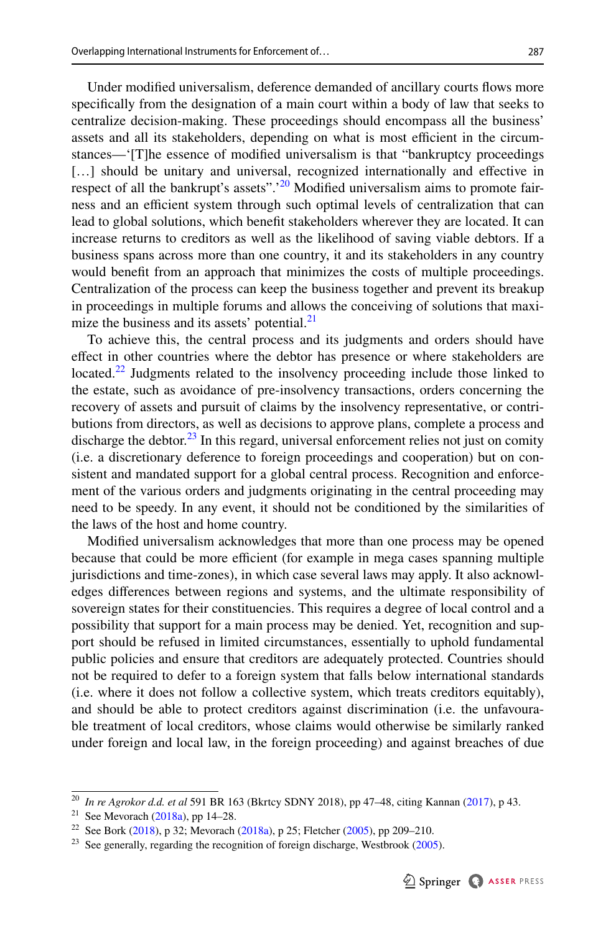Under modifed universalism, deference demanded of ancillary courts fows more specifcally from the designation of a main court within a body of law that seeks to centralize decision-making. These proceedings should encompass all the business' assets and all its stakeholders, depending on what is most efficient in the circumstances—'[T]he essence of modifed universalism is that "bankruptcy proceedings [...] should be unitary and universal, recognized internationally and effective in respect of all the bankrupt's assets".<sup>20</sup> Modified universalism aims to promote fairness and an efficient system through such optimal levels of centralization that can lead to global solutions, which beneft stakeholders wherever they are located. It can increase returns to creditors as well as the likelihood of saving viable debtors. If a business spans across more than one country, it and its stakeholders in any country would beneft from an approach that minimizes the costs of multiple proceedings. Centralization of the process can keep the business together and prevent its breakup in proceedings in multiple forums and allows the conceiving of solutions that maximize the business and its assets' potential. $21$ 

To achieve this, the central process and its judgments and orders should have efect in other countries where the debtor has presence or where stakeholders are located.<sup>[22](#page-4-2)</sup> Judgments related to the insolvency proceeding include those linked to the estate, such as avoidance of pre-insolvency transactions, orders concerning the recovery of assets and pursuit of claims by the insolvency representative, or contributions from directors, as well as decisions to approve plans, complete a process and discharge the debtor.<sup>23</sup> In this regard, universal enforcement relies not just on comity (i.e. a discretionary deference to foreign proceedings and cooperation) but on consistent and mandated support for a global central process. Recognition and enforcement of the various orders and judgments originating in the central proceeding may need to be speedy. In any event, it should not be conditioned by the similarities of the laws of the host and home country.

Modifed universalism acknowledges that more than one process may be opened because that could be more efficient (for example in mega cases spanning multiple jurisdictions and time-zones), in which case several laws may apply. It also acknowledges diferences between regions and systems, and the ultimate responsibility of sovereign states for their constituencies. This requires a degree of local control and a possibility that support for a main process may be denied. Yet, recognition and support should be refused in limited circumstances, essentially to uphold fundamental public policies and ensure that creditors are adequately protected. Countries should not be required to defer to a foreign system that falls below international standards (i.e. where it does not follow a collective system, which treats creditors equitably), and should be able to protect creditors against discrimination (i.e. the unfavourable treatment of local creditors, whose claims would otherwise be similarly ranked under foreign and local law, in the foreign proceeding) and against breaches of due

<span id="page-4-0"></span><sup>20</sup> *In re Agrokor d.d. et al* 591 BR 163 (Bkrtcy SDNY 2018), pp 47–48, citing Kannan [\(2017](#page-31-5)), p 43.

<span id="page-4-1"></span><sup>&</sup>lt;sup>21</sup> See Mevorach ([2018a](#page-31-1)), pp 14–28.

<span id="page-4-2"></span><sup>&</sup>lt;sup>22</sup> See Bork ([2018\)](#page-31-6), p 32; Mevorach [\(2018a\)](#page-31-1), p 25; Fletcher [\(2005](#page-31-4)), pp 209–210.

<span id="page-4-3"></span> $23$  See generally, regarding the recognition of foreign discharge, Westbrook ([2005\)](#page-32-8).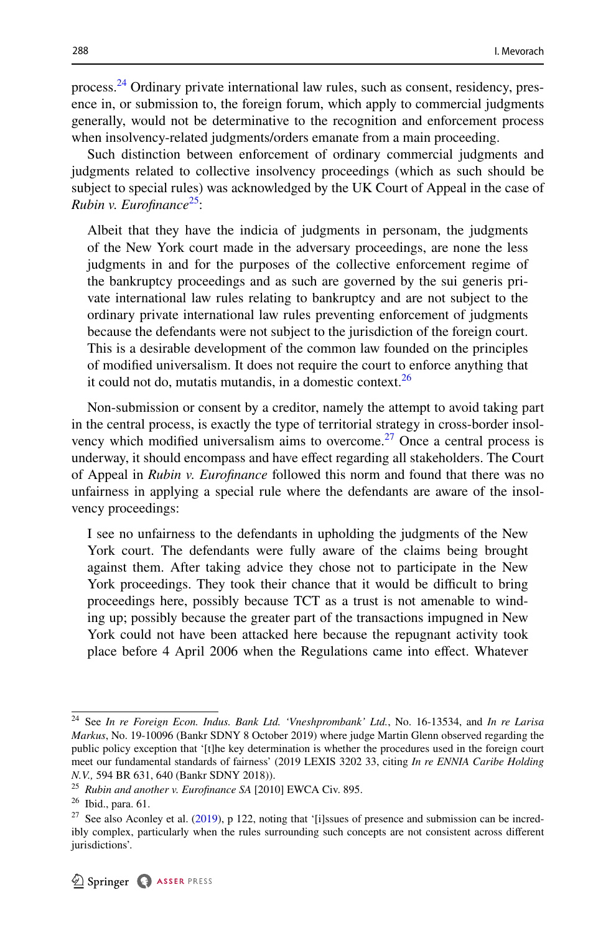process.<sup>24</sup> Ordinary private international law rules, such as consent, residency, presence in, or submission to, the foreign forum, which apply to commercial judgments generally, would not be determinative to the recognition and enforcement process when insolvency-related judgments/orders emanate from a main proceeding.

Such distinction between enforcement of ordinary commercial judgments and judgments related to collective insolvency proceedings (which as such should be subject to special rules) was acknowledged by the UK Court of Appeal in the case of *Rubin v. Eurofnance*[25:](#page-5-1)

Albeit that they have the indicia of judgments in personam, the judgments of the New York court made in the adversary proceedings, are none the less judgments in and for the purposes of the collective enforcement regime of the bankruptcy proceedings and as such are governed by the sui generis private international law rules relating to bankruptcy and are not subject to the ordinary private international law rules preventing enforcement of judgments because the defendants were not subject to the jurisdiction of the foreign court. This is a desirable development of the common law founded on the principles of modifed universalism. It does not require the court to enforce anything that it could not do, mutatis mutandis, in a domestic context. $26$ 

Non-submission or consent by a creditor, namely the attempt to avoid taking part in the central process, is exactly the type of territorial strategy in cross-border insolvency which modified universalism aims to overcome.<sup>27</sup> Once a central process is underway, it should encompass and have efect regarding all stakeholders. The Court of Appeal in *Rubin v. Eurofnance* followed this norm and found that there was no unfairness in applying a special rule where the defendants are aware of the insolvency proceedings:

I see no unfairness to the defendants in upholding the judgments of the New York court. The defendants were fully aware of the claims being brought against them. After taking advice they chose not to participate in the New York proceedings. They took their chance that it would be difficult to bring proceedings here, possibly because TCT as a trust is not amenable to winding up; possibly because the greater part of the transactions impugned in New York could not have been attacked here because the repugnant activity took place before 4 April 2006 when the Regulations came into effect. Whatever

<span id="page-5-0"></span><sup>24</sup> See *In re Foreign Econ. Indus. Bank Ltd. 'Vneshprombank' Ltd.*, No. 16-13534, and *In re Larisa Markus*, No. 19-10096 (Bankr SDNY 8 October 2019) where judge Martin Glenn observed regarding the public policy exception that '[t]he key determination is whether the procedures used in the foreign court meet our fundamental standards of fairness' (2019 LEXIS 3202 33, citing *In re ENNIA Caribe Holding N.V.,* 594 BR 631, 640 (Bankr SDNY 2018)).

<span id="page-5-1"></span><sup>25</sup> *Rubin and another v. Eurofnance SA* [2010] EWCA Civ. 895.

<span id="page-5-2"></span><sup>26</sup> Ibid., para. 61.

<span id="page-5-3"></span> $27$  See also Aconley et al. [\(2019](#page-31-7)), p 122, noting that '[i]ssues of presence and submission can be incredibly complex, particularly when the rules surrounding such concepts are not consistent across diferent jurisdictions'.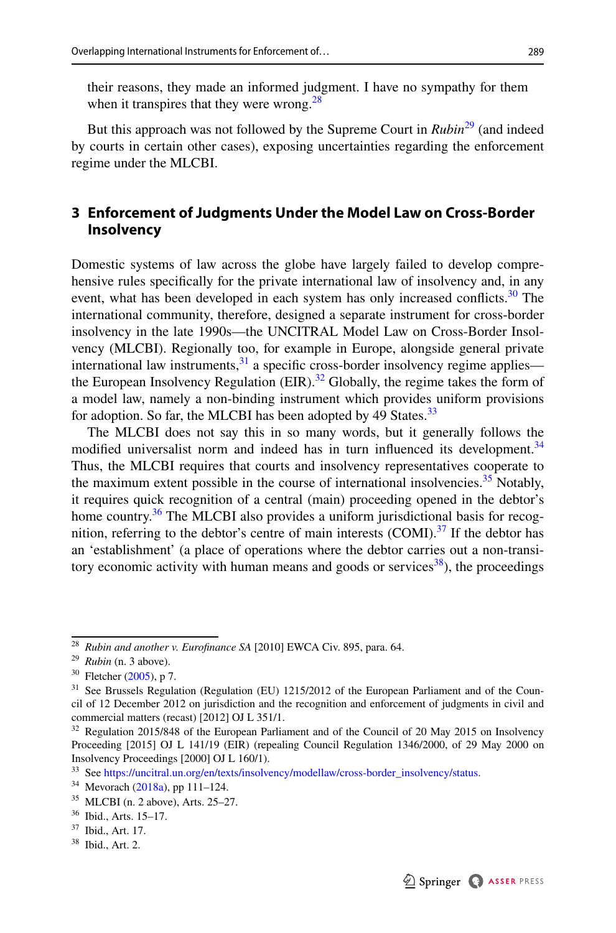their reasons, they made an informed judgment. I have no sympathy for them when it transpires that they were wrong. $^{28}$  $^{28}$  $^{28}$ 

But this approach was not followed by the Supreme Court in *Rubin*[29](#page-6-2) (and indeed by courts in certain other cases), exposing uncertainties regarding the enforcement regime under the MLCBI.

# <span id="page-6-0"></span>**3 Enforcement of Judgments Under the Model Law on Cross‑Border Insolvency**

Domestic systems of law across the globe have largely failed to develop comprehensive rules specifcally for the private international law of insolvency and, in any event, what has been developed in each system has only increased conflicts.<sup>30</sup> The international community, therefore, designed a separate instrument for cross-border insolvency in the late 1990s—the UNCITRAL Model Law on Cross-Border Insolvency (MLCBI). Regionally too, for example in Europe, alongside general private international law instruments, $31$  a specific cross-border insolvency regime applies the European Insolvency Regulation  $(EIR)$ .<sup>32</sup> Globally, the regime takes the form of a model law, namely a non-binding instrument which provides uniform provisions for adoption. So far, the MLCBI has been adopted by 49 States.<sup>[33](#page-6-6)</sup>

The MLCBI does not say this in so many words, but it generally follows the modified universalist norm and indeed has in turn influenced its development.<sup>34</sup> Thus, the MLCBI requires that courts and insolvency representatives cooperate to the maximum extent possible in the course of international insolvencies.<sup>[35](#page-6-8)</sup> Notably, it requires quick recognition of a central (main) proceeding opened in the debtor's home country.<sup>36</sup> The MLCBI also provides a uniform jurisdictional basis for recognition, referring to the debtor's centre of main interests  $(COMI).<sup>37</sup>$  If the debtor has an 'establishment' (a place of operations where the debtor carries out a non-transitory economic activity with human means and goods or services $38$ ), the proceedings

<span id="page-6-11"></span><sup>38</sup> Ibid., Art. 2.



<span id="page-6-1"></span><sup>28</sup> *Rubin and another v. Eurofnance SA* [2010] EWCA Civ. 895, para. 64.

<span id="page-6-2"></span><sup>29</sup> *Rubin* (n. 3 above).

<span id="page-6-3"></span> $30$  Fletcher [\(2005](#page-31-4)), p 7.

<span id="page-6-4"></span><sup>&</sup>lt;sup>31</sup> See Brussels Regulation (Regulation (EU) 1215/2012 of the European Parliament and of the Council of 12 December 2012 on jurisdiction and the recognition and enforcement of judgments in civil and commercial matters (recast) [2012] OJ L 351/1.

<span id="page-6-5"></span><sup>&</sup>lt;sup>32</sup> Regulation 2015/848 of the European Parliament and of the Council of 20 May 2015 on Insolvency Proceeding [2015] OJ L 141/19 (EIR) (repealing Council Regulation 1346/2000, of 29 May 2000 on Insolvency Proceedings [2000] OJ L 160/1).

<span id="page-6-6"></span><sup>33</sup> See [https://uncitral.un.org/en/texts/insolvency/modellaw/cross-border\\_insolvency/status](https://uncitral.un.org/en/texts/insolvency/modellaw/cross-border_insolvency/status).

<span id="page-6-7"></span><sup>34</sup> Mevorach [\(2018a\)](#page-31-1), pp 111–124.

<span id="page-6-8"></span><sup>35</sup> MLCBI (n. 2 above), Arts. 25–27.

<span id="page-6-9"></span><sup>36</sup> Ibid., Arts. 15–17.

<span id="page-6-10"></span><sup>37</sup> Ibid., Art. 17.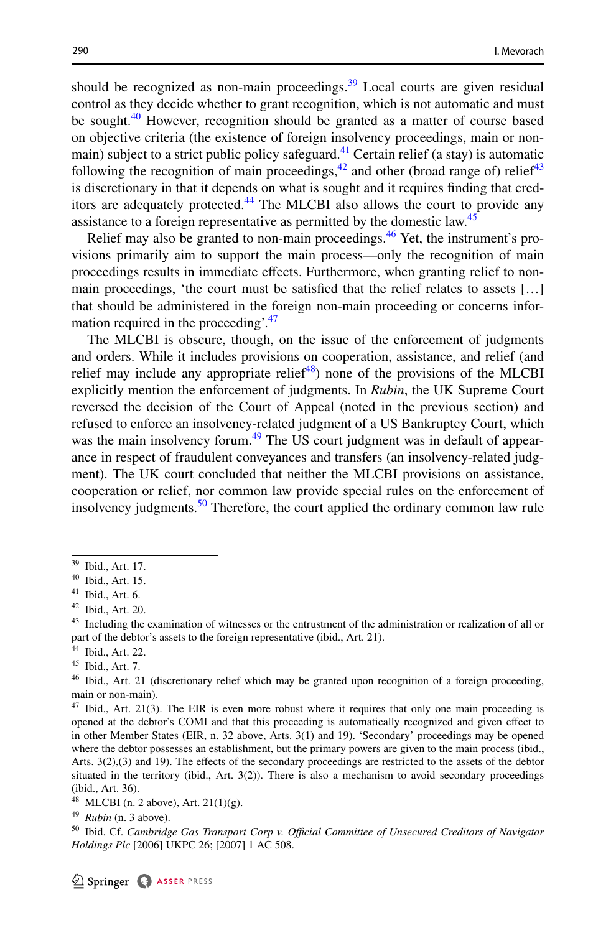should be recognized as non-main proceedings.<sup>39</sup> Local courts are given residual control as they decide whether to grant recognition, which is not automatic and must be sought.<sup>40</sup> However, recognition should be granted as a matter of course based on objective criteria (the existence of foreign insolvency proceedings, main or nonmain) subject to a strict public policy safeguard.<sup>41</sup> Certain relief (a stay) is automatic following the recognition of main proceedings,  $^{42}$  and other (broad range of) relief  $^{43}$ is discretionary in that it depends on what is sought and it requires fnding that creditors are adequately protected. $44$  The MLCBI also allows the court to provide any assistance to a foreign representative as permitted by the domestic law.<sup>[45](#page-7-6)</sup>

Relief may also be granted to non-main proceedings.<sup>46</sup> Yet, the instrument's provisions primarily aim to support the main process—only the recognition of main proceedings results in immediate efects. Furthermore, when granting relief to nonmain proceedings, 'the court must be satisfed that the relief relates to assets […] that should be administered in the foreign non-main proceeding or concerns information required in the proceeding'.<sup>47</sup>

The MLCBI is obscure, though, on the issue of the enforcement of judgments and orders. While it includes provisions on cooperation, assistance, and relief (and relief may include any appropriate relief $48$ ) none of the provisions of the MLCBI explicitly mention the enforcement of judgments. In *Rubin*, the UK Supreme Court reversed the decision of the Court of Appeal (noted in the previous section) and refused to enforce an insolvency-related judgment of a US Bankruptcy Court, which was the main insolvency forum.<sup>49</sup> The US court judgment was in default of appearance in respect of fraudulent conveyances and transfers (an insolvency-related judgment). The UK court concluded that neither the MLCBI provisions on assistance, cooperation or relief, nor common law provide special rules on the enforcement of insolvency judgments.<sup>50</sup> Therefore, the court applied the ordinary common law rule

<span id="page-7-0"></span><sup>39</sup> Ibid., Art. 17.

<span id="page-7-1"></span><sup>40</sup> Ibid., Art. 15.

<span id="page-7-2"></span><sup>41</sup> Ibid., Art. 6.

<span id="page-7-3"></span><sup>42</sup> Ibid., Art. 20.

<span id="page-7-4"></span><sup>&</sup>lt;sup>43</sup> Including the examination of witnesses or the entrustment of the administration or realization of all or part of the debtor's assets to the foreign representative (ibid., Art. 21).

<span id="page-7-5"></span><sup>44</sup> Ibid., Art. 22.

<span id="page-7-6"></span><sup>45</sup> Ibid., Art. 7.

<span id="page-7-7"></span><sup>46</sup> Ibid., Art. 21 (discretionary relief which may be granted upon recognition of a foreign proceeding, main or non-main).

<span id="page-7-8"></span> $47$  Ibid., Art. 21(3). The EIR is even more robust where it requires that only one main proceeding is opened at the debtor's COMI and that this proceeding is automatically recognized and given efect to in other Member States (EIR, n. 32 above, Arts. 3(1) and 19). 'Secondary' proceedings may be opened where the debtor possesses an establishment, but the primary powers are given to the main process (ibid., Arts. 3(2),(3) and 19). The effects of the secondary proceedings are restricted to the assets of the debtor situated in the territory (ibid., Art. 3(2)). There is also a mechanism to avoid secondary proceedings (ibid., Art. 36).

<span id="page-7-9"></span><sup>48</sup> MLCBI (n. 2 above), Art. 21(1)(g).

<span id="page-7-10"></span><sup>49</sup> *Rubin* (n. 3 above).

<span id="page-7-11"></span><sup>&</sup>lt;sup>50</sup> Ibid. Cf. *Cambridge Gas Transport Corp v. Official Committee of Unsecured Creditors of Navigator Holdings Plc* [2006] UKPC 26; [2007] 1 AC 508.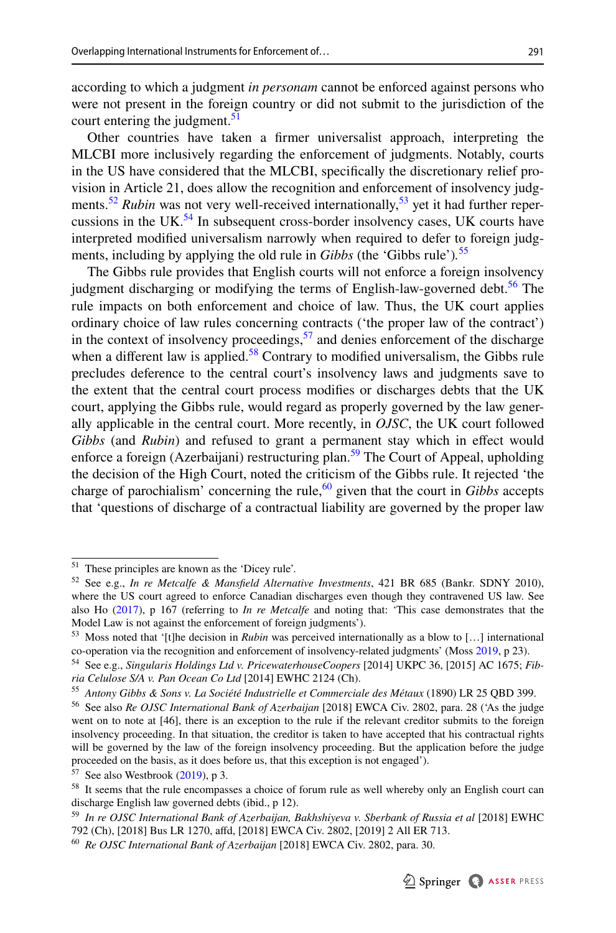according to which a judgment *in personam* cannot be enforced against persons who were not present in the foreign country or did not submit to the jurisdiction of the court entering the judgment. $51$ 

Other countries have taken a frmer universalist approach, interpreting the MLCBI more inclusively regarding the enforcement of judgments. Notably, courts in the US have considered that the MLCBI, specifcally the discretionary relief provision in Article 21, does allow the recognition and enforcement of insolvency judg-ments.<sup>[52](#page-8-1)</sup> *Rubin* was not very well-received internationally,<sup>53</sup> yet it had further repercussions in the UK. $<sup>54</sup>$  In subsequent cross-border insolvency cases, UK courts have</sup> interpreted modifed universalism narrowly when required to defer to foreign judgments, including by applying the old rule in *Gibbs* (the 'Gibbs rule')*.* [55](#page-8-4)

The Gibbs rule provides that English courts will not enforce a foreign insolvency judgment discharging or modifying the terms of English-law-governed debt.<sup>56</sup> The rule impacts on both enforcement and choice of law. Thus, the UK court applies ordinary choice of law rules concerning contracts ('the proper law of the contract') in the context of insolvency proceedings,  $57$  and denies enforcement of the discharge when a different law is applied.<sup>58</sup> Contrary to modified universalism, the Gibbs rule precludes deference to the central court's insolvency laws and judgments save to the extent that the central court process modifes or discharges debts that the UK court, applying the Gibbs rule, would regard as properly governed by the law generally applicable in the central court. More recently, in *OJSC*, the UK court followed *Gibbs* (and *Rubin*) and refused to grant a permanent stay which in efect would enforce a foreign (Azerbaijani) restructuring plan.<sup>59</sup> The Court of Appeal, upholding the decision of the High Court, noted the criticism of the Gibbs rule. It rejected 'the charge of parochialism' concerning the rule,<sup>60</sup> given that the court in *Gibbs* accepts that 'questions of discharge of a contractual liability are governed by the proper law

<span id="page-8-0"></span><sup>51</sup> These principles are known as the 'Dicey rule'.

<span id="page-8-1"></span><sup>52</sup> See e.g., *In re Metcalfe & Mansfeld Alternative Investments*, 421 BR 685 (Bankr. SDNY 2010), where the US court agreed to enforce Canadian discharges even though they contravened US law. See also Ho [\(2017](#page-31-8)), p 167 (referring to *In re Metcalfe* and noting that: 'This case demonstrates that the Model Law is not against the enforcement of foreign judgments').

<span id="page-8-2"></span><sup>53</sup> Moss noted that '[t]he decision in *Rubin* was perceived internationally as a blow to […] international co-operation via the recognition and enforcement of insolvency-related judgments' (Moss [2019,](#page-32-2) p 23).

<span id="page-8-3"></span><sup>54</sup> See e.g., *Singularis Holdings Ltd v. PricewaterhouseCoopers* [2014] UKPC 36, [2015] AC 1675; *Fibria Celulose S/A v. Pan Ocean Co Ltd* [2014] EWHC 2124 (Ch).

<span id="page-8-4"></span><sup>55</sup> *Antony Gibbs & Sons v. La Société Industrielle et Commerciale des Métaux* (1890) LR 25 QBD 399.

<span id="page-8-5"></span><sup>56</sup> See also *Re OJSC International Bank of Azerbaijan* [2018] EWCA Civ. 2802, para. 28 ('As the judge went on to note at [46], there is an exception to the rule if the relevant creditor submits to the foreign insolvency proceeding. In that situation, the creditor is taken to have accepted that his contractual rights will be governed by the law of the foreign insolvency proceeding. But the application before the judge proceeded on the basis, as it does before us, that this exception is not engaged').

<span id="page-8-6"></span> $57$  See also Westbrook [\(2019](#page-32-4)), p 3.

<span id="page-8-7"></span><sup>&</sup>lt;sup>58</sup> It seems that the rule encompasses a choice of forum rule as well whereby only an English court can discharge English law governed debts (ibid., p 12).

<span id="page-8-8"></span><sup>59</sup> *In re OJSC International Bank of Azerbaijan, Bakhshiyeva v. Sberbank of Russia et al* [2018] EWHC 792 (Ch), [2018] Bus LR 1270, afd, [2018] EWCA Civ. 2802, [2019] 2 All ER 713.

<span id="page-8-9"></span><sup>60</sup> *Re OJSC International Bank of Azerbaijan* [2018] EWCA Civ. 2802, para. 30.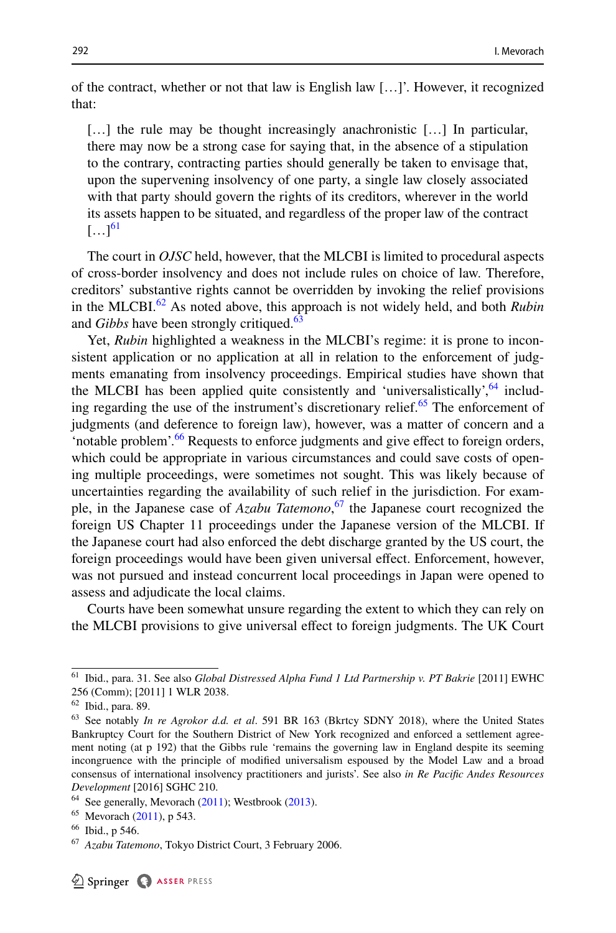of the contract, whether or not that law is English law […]'. However, it recognized that:

[...] the rule may be thought increasingly anachronistic [...] In particular, there may now be a strong case for saying that, in the absence of a stipulation to the contrary, contracting parties should generally be taken to envisage that, upon the supervening insolvency of one party, a single law closely associated with that party should govern the rights of its creditors, wherever in the world its assets happen to be situated, and regardless of the proper law of the contract  $[...]^{61}$ 

The court in *OJSC* held, however, that the MLCBI is limited to procedural aspects of cross-border insolvency and does not include rules on choice of law. Therefore, creditors' substantive rights cannot be overridden by invoking the relief provisions in the MLCBI.<sup>62</sup> As noted above, this approach is not widely held, and both *Rubin* and *Gibbs* have been strongly critiqued.<sup>[63](#page-9-2)</sup>

Yet, *Rubin* highlighted a weakness in the MLCBI's regime: it is prone to inconsistent application or no application at all in relation to the enforcement of judgments emanating from insolvency proceedings. Empirical studies have shown that the MLCBI has been applied quite consistently and 'universalistically',  $64$  including regarding the use of the instrument's discretionary relief. $65$  The enforcement of judgments (and deference to foreign law), however, was a matter of concern and a 'notable problem'.<sup>66</sup> Requests to enforce judgments and give effect to foreign orders, which could be appropriate in various circumstances and could save costs of opening multiple proceedings, were sometimes not sought. This was likely because of uncertainties regarding the availability of such relief in the jurisdiction. For example, in the Japanese case of *Azabu Tatemono*, [67](#page-9-6) the Japanese court recognized the foreign US Chapter 11 proceedings under the Japanese version of the MLCBI. If the Japanese court had also enforced the debt discharge granted by the US court, the foreign proceedings would have been given universal efect. Enforcement, however, was not pursued and instead concurrent local proceedings in Japan were opened to assess and adjudicate the local claims.

Courts have been somewhat unsure regarding the extent to which they can rely on the MLCBI provisions to give universal efect to foreign judgments. The UK Court

<span id="page-9-0"></span><sup>61</sup> Ibid., para. 31. See also *Global Distressed Alpha Fund 1 Ltd Partnership v. PT Bakrie* [2011] EWHC 256 (Comm); [2011] 1 WLR 2038.

<span id="page-9-1"></span><sup>62</sup> Ibid., para. 89.

<span id="page-9-2"></span><sup>63</sup> See notably *In re Agrokor d.d. et al*. 591 BR 163 (Bkrtcy SDNY 2018), where the United States Bankruptcy Court for the Southern District of New York recognized and enforced a settlement agreement noting (at p 192) that the Gibbs rule 'remains the governing law in England despite its seeming incongruence with the principle of modifed universalism espoused by the Model Law and a broad consensus of international insolvency practitioners and jurists'. See also *in Re Pacifc Andes Resources Development* [2016] SGHC 210.

<span id="page-9-3"></span> $64$  See generally, Mevorach ([2011\)](#page-31-9); Westbrook ([2013\)](#page-32-9).

<span id="page-9-4"></span> $65$  Mevorach  $(2011)$  $(2011)$ , p 543.

<span id="page-9-5"></span><sup>66</sup> Ibid., p 546.

<span id="page-9-6"></span><sup>67</sup> *Azabu Tatemono*, Tokyo District Court, 3 February 2006.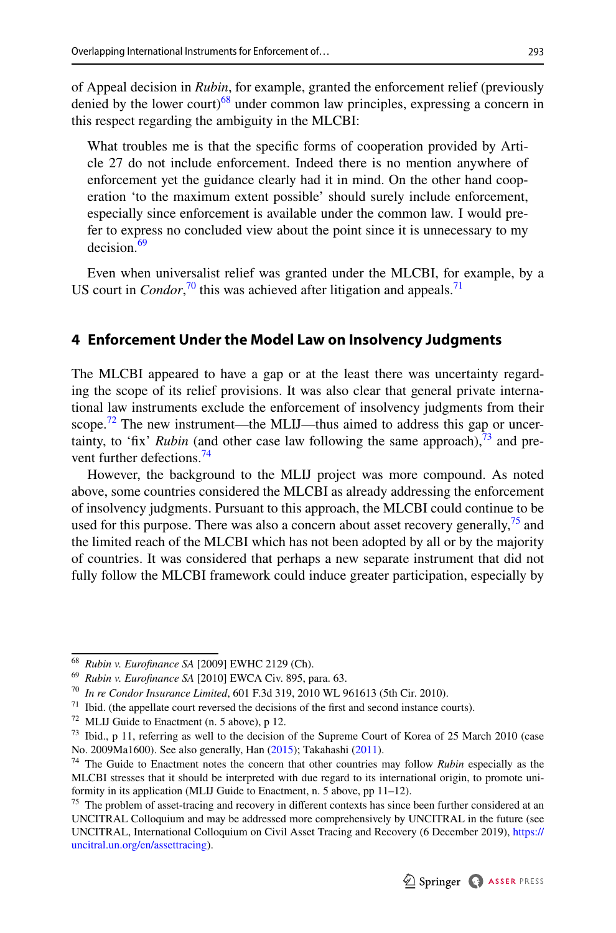of Appeal decision in *Rubin*, for example, granted the enforcement relief (previously denied by the lower court)<sup>68</sup> under common law principles, expressing a concern in this respect regarding the ambiguity in the MLCBI:

What troubles me is that the specifc forms of cooperation provided by Article 27 do not include enforcement. Indeed there is no mention anywhere of enforcement yet the guidance clearly had it in mind. On the other hand cooperation 'to the maximum extent possible' should surely include enforcement, especially since enforcement is available under the common law*.* I would prefer to express no concluded view about the point since it is unnecessary to my decision<sup>69</sup>

Even when universalist relief was granted under the MLCBI, for example, by a US court in *Condor*<sup>70</sup>, this was achieved after litigation and appeals.<sup>[71](#page-10-4)</sup>

# <span id="page-10-0"></span>**4 Enforcement Under the Model Law on Insolvency Judgments**

The MLCBI appeared to have a gap or at the least there was uncertainty regarding the scope of its relief provisions. It was also clear that general private international law instruments exclude the enforcement of insolvency judgments from their scope.<sup>72</sup> The new instrument—the MLIJ—thus aimed to address this gap or uncertainty, to 'fix' *Rubin* (and other case law following the same approach),  $\frac{73}{2}$  $\frac{73}{2}$  $\frac{73}{2}$  and pre-vent further defections.<sup>[74](#page-10-7)</sup>

However, the background to the MLIJ project was more compound. As noted above, some countries considered the MLCBI as already addressing the enforcement of insolvency judgments. Pursuant to this approach, the MLCBI could continue to be used for this purpose. There was also a concern about asset recovery generally,<sup>75</sup> and the limited reach of the MLCBI which has not been adopted by all or by the majority of countries. It was considered that perhaps a new separate instrument that did not fully follow the MLCBI framework could induce greater participation, especially by

<span id="page-10-1"></span><sup>68</sup> *Rubin v. Eurofnance SA* [2009] EWHC 2129 (Ch).

<span id="page-10-2"></span><sup>69</sup> *Rubin v. Eurofnance SA* [2010] EWCA Civ. 895, para. 63.

<span id="page-10-3"></span><sup>70</sup> *In re Condor Insurance Limited*, 601 F.3d 319, 2010 WL 961613 (5th Cir. 2010).

<span id="page-10-4"></span> $71$  Ibid. (the appellate court reversed the decisions of the first and second instance courts).

<span id="page-10-5"></span><sup>72</sup> MLIJ Guide to Enactment (n. 5 above), p 12.

<span id="page-10-6"></span><sup>&</sup>lt;sup>73</sup> Ibid., p 11, referring as well to the decision of the Supreme Court of Korea of 25 March 2010 (case No. 2009Ma1600). See also generally, Han [\(2015](#page-31-10)); Takahashi ([2011\)](#page-32-10).

<span id="page-10-7"></span><sup>74</sup> The Guide to Enactment notes the concern that other countries may follow *Rubin* especially as the MLCBI stresses that it should be interpreted with due regard to its international origin, to promote uniformity in its application (MLIJ Guide to Enactment, n. 5 above, pp 11–12).

<span id="page-10-8"></span><sup>&</sup>lt;sup>75</sup> The problem of asset-tracing and recovery in different contexts has since been further considered at an UNCITRAL Colloquium and may be addressed more comprehensively by UNCITRAL in the future (see UNCITRAL, International Colloquium on Civil Asset Tracing and Recovery (6 December 2019), [https://](https://uncitral.un.org/en/assettracing) [uncitral.un.org/en/assettracing\)](https://uncitral.un.org/en/assettracing).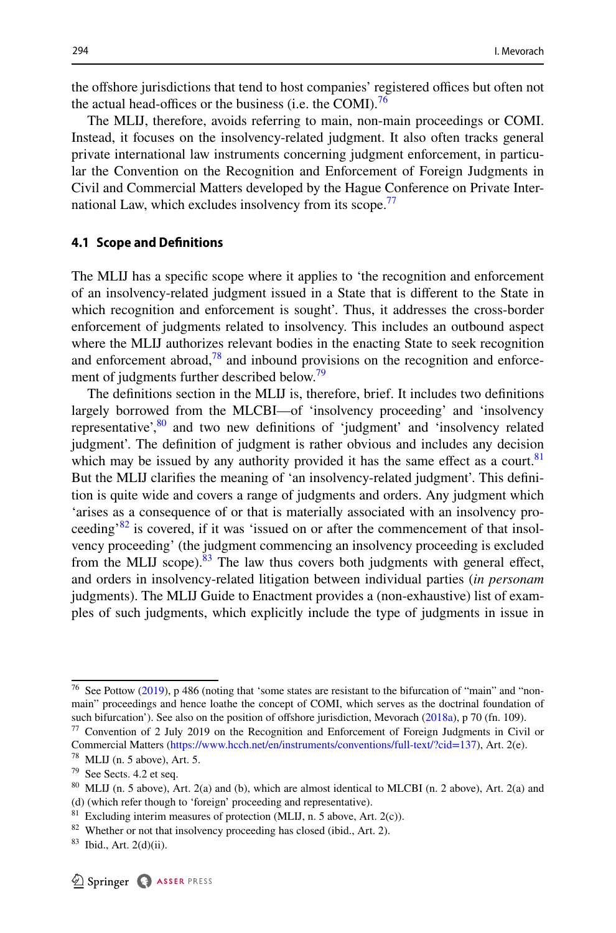the offshore jurisdictions that tend to host companies' registered offices but often not the actual head-offices or the business (i.e. the COMI).<sup>[76](#page-11-0)</sup>

The MLIJ, therefore, avoids referring to main, non-main proceedings or COMI. Instead, it focuses on the insolvency-related judgment. It also often tracks general private international law instruments concerning judgment enforcement, in particular the Convention on the Recognition and Enforcement of Foreign Judgments in Civil and Commercial Matters developed by the Hague Conference on Private Inter-national Law, which excludes insolvency from its scope.<sup>[77](#page-11-1)</sup>

# **4.1 Scope and Defnitions**

The MLIJ has a specifc scope where it applies to 'the recognition and enforcement of an insolvency-related judgment issued in a State that is diferent to the State in which recognition and enforcement is sought'. Thus, it addresses the cross-border enforcement of judgments related to insolvency. This includes an outbound aspect where the MLIJ authorizes relevant bodies in the enacting State to seek recognition and enforcement abroad, $78$  and inbound provisions on the recognition and enforce-ment of judgments further described below.<sup>[79](#page-11-3)</sup>

The defnitions section in the MLIJ is, therefore, brief. It includes two defnitions largely borrowed from the MLCBI—of 'insolvency proceeding' and 'insolvency representative',  $80$  and two new definitions of 'judgment' and 'insolvency related judgment'. The defnition of judgment is rather obvious and includes any decision which may be issued by any authority provided it has the same effect as a court.<sup>[81](#page-11-5)</sup> But the MLIJ clarifes the meaning of 'an insolvency-related judgment'. This defnition is quite wide and covers a range of judgments and orders. Any judgment which 'arises as a consequence of or that is materially associated with an insolvency proceeding<sup>82</sup> is covered, if it was 'issued on or after the commencement of that insolvency proceeding' (the judgment commencing an insolvency proceeding is excluded from the MLIJ scope). $83$  The law thus covers both judgments with general effect, and orders in insolvency-related litigation between individual parties (*in personam* judgments). The MLIJ Guide to Enactment provides a (non-exhaustive) list of examples of such judgments, which explicitly include the type of judgments in issue in

<span id="page-11-0"></span><sup>76</sup> See Pottow [\(2019](#page-32-11)), p 486 (noting that 'some states are resistant to the bifurcation of "main" and "nonmain" proceedings and hence loathe the concept of COMI, which serves as the doctrinal foundation of such bifurcation'). See also on the position of offshore jurisdiction, Mevorach ([2018a](#page-31-1)), p 70 (fn. 109).

<span id="page-11-1"></span><sup>77</sup> Convention of 2 July 2019 on the Recognition and Enforcement of Foreign Judgments in Civil or Commercial Matters (<https://www.hcch.net/en/instruments/conventions/full-text/?cid=137>), Art. 2(e).

<span id="page-11-2"></span><sup>78</sup> MLIJ (n. 5 above), Art. 5.

<span id="page-11-3"></span> $79$  See Sects. 4.2 et seq.

<span id="page-11-4"></span><sup>80</sup> MLIJ (n. 5 above), Art. 2(a) and (b), which are almost identical to MLCBI (n. 2 above), Art. 2(a) and (d) (which refer though to 'foreign' proceeding and representative).

<span id="page-11-5"></span> $81$  Excluding interim measures of protection (MLIJ, n. 5 above, Art. 2(c)).

<span id="page-11-6"></span><sup>&</sup>lt;sup>82</sup> Whether or not that insolvency proceeding has closed (ibid., Art. 2).

<span id="page-11-7"></span> $83$  Ibid., Art. 2(d)(ii).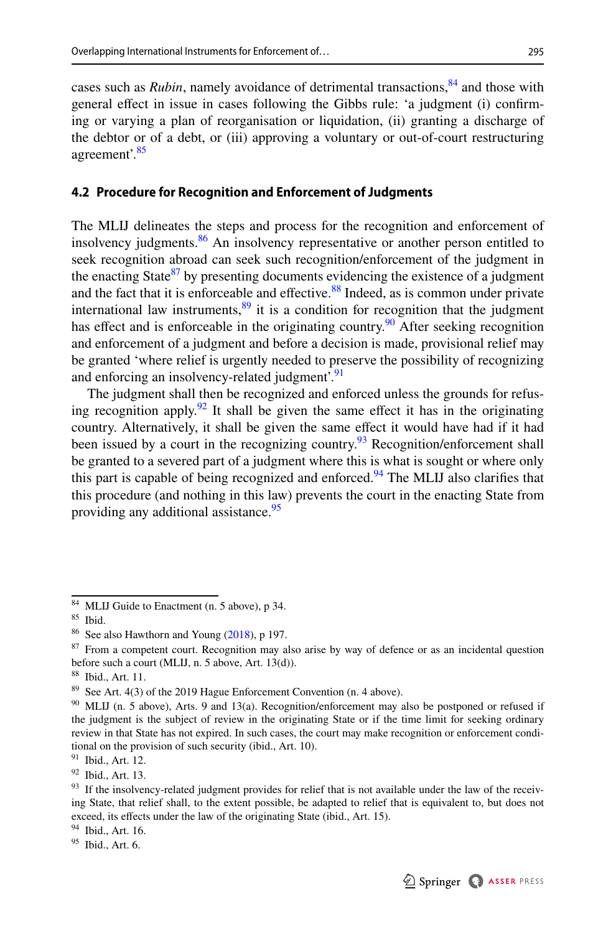cases such as *Rubin*, namely avoidance of detrimental transactions, <sup>84</sup> and those with general efect in issue in cases following the Gibbs rule: 'a judgment (i) confrming or varying a plan of reorganisation or liquidation, (ii) granting a discharge of the debtor or of a debt, or (iii) approving a voluntary or out-of-court restructuring agreement'[.85](#page-12-1)

# **4.2 Procedure for Recognition and Enforcement of Judgments**

The MLIJ delineates the steps and process for the recognition and enforcement of insolvency judgments.[86](#page-12-2) An insolvency representative or another person entitled to seek recognition abroad can seek such recognition/enforcement of the judgment in the enacting State $87$  by presenting documents evidencing the existence of a judgment and the fact that it is enforceable and effective. $88$  Indeed, as is common under private international law instruments,  $89$  it is a condition for recognition that the judgment has effect and is enforceable in the originating country.<sup>90</sup> After seeking recognition and enforcement of a judgment and before a decision is made, provisional relief may be granted 'where relief is urgently needed to preserve the possibility of recognizing and enforcing an insolvency-related judgment'.<sup>[91](#page-12-7)</sup>

The judgment shall then be recognized and enforced unless the grounds for refusing recognition apply.<sup>92</sup> It shall be given the same effect it has in the originating country. Alternatively, it shall be given the same effect it would have had if it had been issued by a court in the recognizing country.<sup>93</sup> Recognition/enforcement shall be granted to a severed part of a judgment where this is what is sought or where only this part is capable of being recognized and enforced.<sup>94</sup> The MLIJ also clarifies that this procedure (and nothing in this law) prevents the court in the enacting State from providing any additional assistance.<sup>[95](#page-12-11)</sup>

<span id="page-12-0"></span><sup>84</sup> MLIJ Guide to Enactment (n. 5 above), p 34.

<span id="page-12-1"></span><sup>85</sup> Ibid.

<span id="page-12-2"></span><sup>86</sup> See also Hawthorn and Young [\(2018](#page-31-0)), p 197.

<span id="page-12-3"></span><sup>&</sup>lt;sup>87</sup> From a competent court. Recognition may also arise by way of defence or as an incidental question before such a court (MLIJ, n. 5 above, Art. 13(d)).

<span id="page-12-4"></span><sup>88</sup> Ibid., Art. 11.

<span id="page-12-5"></span><sup>&</sup>lt;sup>89</sup> See Art. 4(3) of the 2019 Hague Enforcement Convention (n. 4 above).

<span id="page-12-6"></span><sup>&</sup>lt;sup>90</sup> MLIJ (n. 5 above), Arts. 9 and 13(a). Recognition/enforcement may also be postponed or refused if the judgment is the subject of review in the originating State or if the time limit for seeking ordinary review in that State has not expired. In such cases, the court may make recognition or enforcement conditional on the provision of such security (ibid., Art. 10).

<span id="page-12-7"></span> $91$  Ibid., Art. 12.

<span id="page-12-8"></span> $92$  Ibid., Art. 13.

<span id="page-12-9"></span><sup>&</sup>lt;sup>93</sup> If the insolvency-related judgment provides for relief that is not available under the law of the receiving State, that relief shall, to the extent possible, be adapted to relief that is equivalent to, but does not exceed, its efects under the law of the originating State (ibid., Art. 15).

<span id="page-12-10"></span><sup>94</sup> Ibid., Art. 16.

<span id="page-12-11"></span> $95$  Ibid., Art. 6.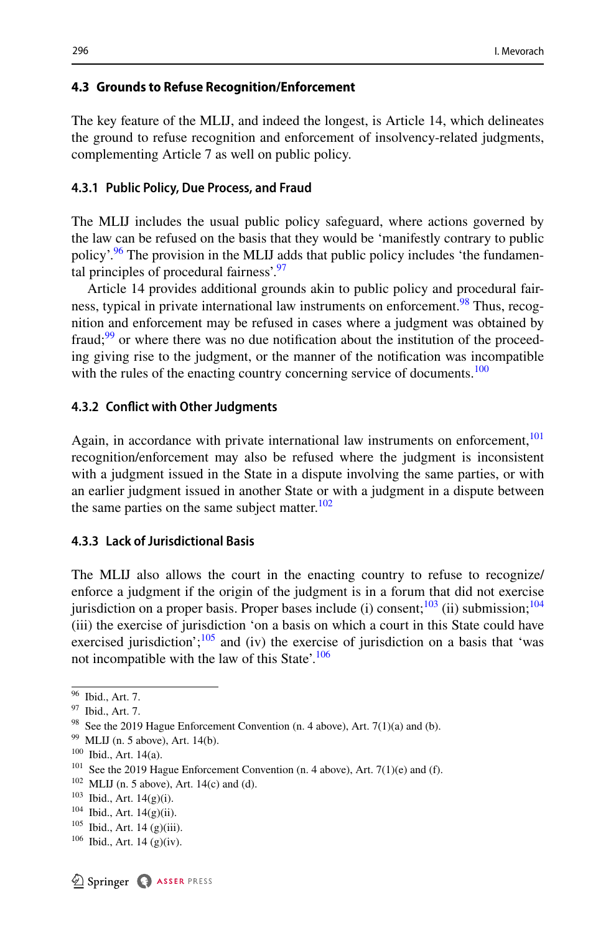#### **4.3 Grounds to Refuse Recognition/Enforcement**

The key feature of the MLIJ, and indeed the longest, is Article 14, which delineates the ground to refuse recognition and enforcement of insolvency-related judgments, complementing Article 7 as well on public policy.

#### **4.3.1 Public Policy, Due Process, and Fraud**

The MLIJ includes the usual public policy safeguard, where actions governed by the law can be refused on the basis that they would be 'manifestly contrary to public policy'.<sup>96</sup> The provision in the MLIJ adds that public policy includes 'the fundamen-tal principles of procedural fairness'.<sup>[97](#page-13-1)</sup>

Article 14 provides additional grounds akin to public policy and procedural fairness, typical in private international law instruments on enforcement.<sup>98</sup> Thus, recognition and enforcement may be refused in cases where a judgment was obtained by fraud; $99$  or where there was no due notification about the institution of the proceeding giving rise to the judgment, or the manner of the notifcation was incompatible with the rules of the enacting country concerning service of documents.<sup>100</sup>

#### **4.3.2 Confict with Other Judgments**

Again, in accordance with private international law instruments on enforcement, $101$ recognition/enforcement may also be refused where the judgment is inconsistent with a judgment issued in the State in a dispute involving the same parties, or with an earlier judgment issued in another State or with a judgment in a dispute between the same parties on the same subject matter. $102$ 

### **4.3.3 Lack of Jurisdictional Basis**

The MLIJ also allows the court in the enacting country to refuse to recognize/ enforce a judgment if the origin of the judgment is in a forum that did not exercise jurisdiction on a proper basis. Proper bases include (i) consent; $\frac{103}{10}$  (ii) submission; $\frac{104}{10}$  $\frac{104}{10}$  $\frac{104}{10}$ (iii) the exercise of jurisdiction 'on a basis on which a court in this State could have exercised jurisdiction'; $\frac{105}{100}$  and (iv) the exercise of jurisdiction on a basis that 'was not incompatible with the law of this State'.<sup>106</sup>

<span id="page-13-0"></span><sup>96</sup> Ibid., Art. 7.

<span id="page-13-1"></span><sup>97</sup> Ibid., Art. 7.

<span id="page-13-2"></span><sup>&</sup>lt;sup>98</sup> See the 2019 Hague Enforcement Convention (n. 4 above), Art. 7(1)(a) and (b).

<span id="page-13-3"></span> $99$  MLIJ (n. 5 above), Art. 14(b).

<span id="page-13-4"></span> $^{100}$  Ibid., Art. 14(a).

<span id="page-13-5"></span>See the 2019 Hague Enforcement Convention (n. 4 above), Art.  $7(1)(e)$  and (f).

<span id="page-13-6"></span> $102$  MLIJ (n. 5 above), Art. 14(c) and (d).

<span id="page-13-7"></span><sup>103</sup> Ibid., Art. 14(g)(i).

<span id="page-13-8"></span><sup>104</sup> Ibid., Art. 14(g)(ii).

<span id="page-13-9"></span><sup>105</sup> Ibid., Art. 14 (g)(iii).

<span id="page-13-10"></span><sup>106</sup> Ibid., Art. 14 (g)(iv).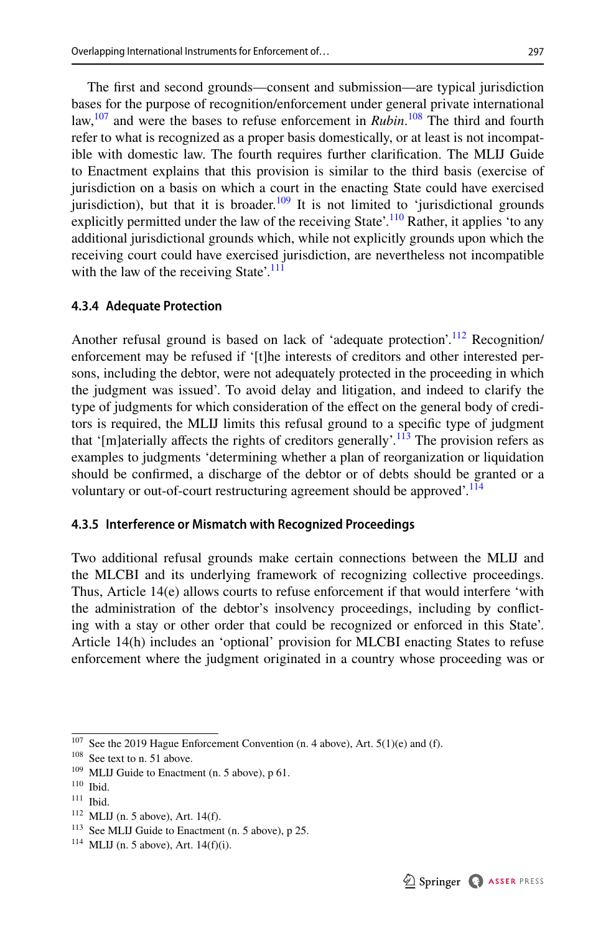The frst and second grounds—consent and submission—are typical jurisdiction bases for the purpose of recognition/enforcement under general private international law,<sup>107</sup> and were the bases to refuse enforcement in *Rubin*.<sup>108</sup> The third and fourth refer to what is recognized as a proper basis domestically, or at least is not incompatible with domestic law. The fourth requires further clarifcation. The MLIJ Guide to Enactment explains that this provision is similar to the third basis (exercise of jurisdiction on a basis on which a court in the enacting State could have exercised jurisdiction), but that it is broader.<sup>109</sup> It is not limited to 'jurisdictional grounds explicitly permitted under the law of the receiving State'.<sup>[110](#page-14-3)</sup> Rather, it applies 'to any additional jurisdictional grounds which, while not explicitly grounds upon which the receiving court could have exercised jurisdiction, are nevertheless not incompatible with the law of the receiving State'. $\frac{111}{111}$  $\frac{111}{111}$  $\frac{111}{111}$ 

#### **4.3.4 Adequate Protection**

Another refusal ground is based on lack of 'adequate protection'.<sup>112</sup> Recognition/ enforcement may be refused if '[t]he interests of creditors and other interested persons, including the debtor, were not adequately protected in the proceeding in which the judgment was issued'. To avoid delay and litigation, and indeed to clarify the type of judgments for which consideration of the efect on the general body of creditors is required, the MLIJ limits this refusal ground to a specifc type of judgment that '[m]aterially affects the rights of creditors generally'.<sup>[113](#page-14-6)</sup> The provision refers as examples to judgments 'determining whether a plan of reorganization or liquidation should be confrmed, a discharge of the debtor or of debts should be granted or a voluntary or out-of-court restructuring agreement should be approved'.<sup>[114](#page-14-7)</sup>

#### **4.3.5 Interference or Mismatch with Recognized Proceedings**

Two additional refusal grounds make certain connections between the MLIJ and the MLCBI and its underlying framework of recognizing collective proceedings. Thus, Article 14(e) allows courts to refuse enforcement if that would interfere 'with the administration of the debtor's insolvency proceedings, including by conficting with a stay or other order that could be recognized or enforced in this State'. Article 14(h) includes an 'optional' provision for MLCBI enacting States to refuse enforcement where the judgment originated in a country whose proceeding was or

<span id="page-14-0"></span> $107$  See the 2019 Hague Enforcement Convention (n. 4 above), Art. 5(1)(e) and (f).

<span id="page-14-1"></span><sup>&</sup>lt;sup>108</sup> See text to n. 51 above.

<span id="page-14-2"></span><sup>&</sup>lt;sup>109</sup> MLIJ Guide to Enactment (n. 5 above), p 61.

<span id="page-14-3"></span><sup>110</sup> Ibid.

<span id="page-14-4"></span><sup>111</sup> Ibid.

<span id="page-14-5"></span> $112$  MLIJ (n. 5 above), Art. 14(f).

<span id="page-14-6"></span><sup>113</sup> See MLIJ Guide to Enactment (n. 5 above), p 25.

<span id="page-14-7"></span> $114$  MLIJ (n. 5 above), Art. 14(f)(i).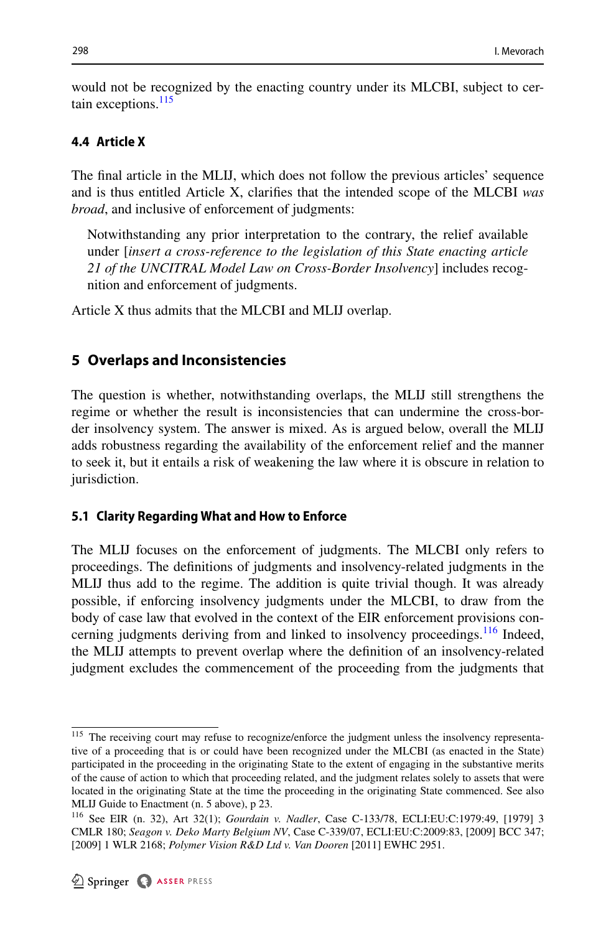would not be recognized by the enacting country under its MLCBI, subject to certain exceptions.<sup>115</sup>

#### **4.4 Article X**

The fnal article in the MLIJ, which does not follow the previous articles' sequence and is thus entitled Article X, clarifes that the intended scope of the MLCBI *was broad*, and inclusive of enforcement of judgments:

Notwithstanding any prior interpretation to the contrary, the relief available under [*insert a cross-reference to the legislation of this State enacting article 21 of the UNCITRAL Model Law on Cross-Border Insolvency*] includes recognition and enforcement of judgments.

Article X thus admits that the MLCBI and MLIJ overlap.

# <span id="page-15-0"></span>**5 Overlaps and Inconsistencies**

The question is whether, notwithstanding overlaps, the MLIJ still strengthens the regime or whether the result is inconsistencies that can undermine the cross-border insolvency system. The answer is mixed. As is argued below, overall the MLIJ adds robustness regarding the availability of the enforcement relief and the manner to seek it, but it entails a risk of weakening the law where it is obscure in relation to jurisdiction.

#### **5.1 Clarity Regarding What and How to Enforce**

The MLIJ focuses on the enforcement of judgments. The MLCBI only refers to proceedings. The defnitions of judgments and insolvency-related judgments in the MLIJ thus add to the regime. The addition is quite trivial though. It was already possible, if enforcing insolvency judgments under the MLCBI, to draw from the body of case law that evolved in the context of the EIR enforcement provisions con-cerning judgments deriving from and linked to insolvency proceedings.<sup>[116](#page-15-2)</sup> Indeed, the MLIJ attempts to prevent overlap where the defnition of an insolvency-related judgment excludes the commencement of the proceeding from the judgments that

<span id="page-15-1"></span><sup>&</sup>lt;sup>115</sup> The receiving court may refuse to recognize/enforce the judgment unless the insolvency representative of a proceeding that is or could have been recognized under the MLCBI (as enacted in the State) participated in the proceeding in the originating State to the extent of engaging in the substantive merits of the cause of action to which that proceeding related, and the judgment relates solely to assets that were located in the originating State at the time the proceeding in the originating State commenced. See also MLIJ Guide to Enactment (n. 5 above), p 23.

<span id="page-15-2"></span><sup>116</sup> See EIR (n. 32), Art 32(1); *Gourdain v. Nadler*, Case C-133/78, ECLI:EU:C:1979:49, [1979] 3 CMLR 180; *Seagon v. Deko Marty Belgium NV*, Case C-339/07, ECLI:EU:C:2009:83, [2009] BCC 347; [2009] 1 WLR 2168; *Polymer Vision R&D Ltd v. Van Dooren* [2011] EWHC 2951.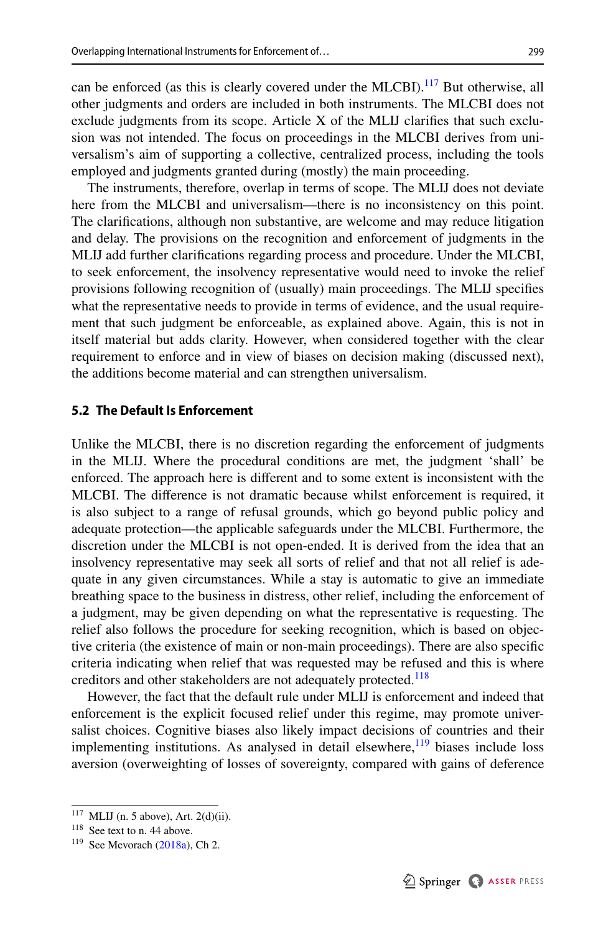can be enforced (as this is clearly covered under the MLCBI).<sup>[117](#page-16-0)</sup> But otherwise, all other judgments and orders are included in both instruments. The MLCBI does not exclude judgments from its scope. Article X of the MLIJ clarifes that such exclusion was not intended. The focus on proceedings in the MLCBI derives from universalism's aim of supporting a collective, centralized process, including the tools employed and judgments granted during (mostly) the main proceeding.

The instruments, therefore, overlap in terms of scope. The MLIJ does not deviate here from the MLCBI and universalism—there is no inconsistency on this point. The clarifcations, although non substantive, are welcome and may reduce litigation and delay. The provisions on the recognition and enforcement of judgments in the MLIJ add further clarifcations regarding process and procedure. Under the MLCBI, to seek enforcement, the insolvency representative would need to invoke the relief provisions following recognition of (usually) main proceedings. The MLIJ specifes what the representative needs to provide in terms of evidence, and the usual requirement that such judgment be enforceable, as explained above. Again, this is not in itself material but adds clarity. However, when considered together with the clear requirement to enforce and in view of biases on decision making (discussed next), the additions become material and can strengthen universalism.

#### **5.2 The Default Is Enforcement**

Unlike the MLCBI, there is no discretion regarding the enforcement of judgments in the MLIJ. Where the procedural conditions are met, the judgment 'shall' be enforced. The approach here is diferent and to some extent is inconsistent with the MLCBI. The diference is not dramatic because whilst enforcement is required, it is also subject to a range of refusal grounds, which go beyond public policy and adequate protection—the applicable safeguards under the MLCBI. Furthermore, the discretion under the MLCBI is not open-ended. It is derived from the idea that an insolvency representative may seek all sorts of relief and that not all relief is adequate in any given circumstances. While a stay is automatic to give an immediate breathing space to the business in distress, other relief, including the enforcement of a judgment, may be given depending on what the representative is requesting. The relief also follows the procedure for seeking recognition, which is based on objective criteria (the existence of main or non-main proceedings). There are also specifc criteria indicating when relief that was requested may be refused and this is where creditors and other stakeholders are not adequately protected.<sup>[118](#page-16-1)</sup>

However, the fact that the default rule under MLIJ is enforcement and indeed that enforcement is the explicit focused relief under this regime, may promote universalist choices. Cognitive biases also likely impact decisions of countries and their implementing institutions. As analysed in detail elsewhere,  $\frac{119}{120}$  biases include loss aversion (overweighting of losses of sovereignty, compared with gains of deference

<span id="page-16-0"></span> $117$  MLIJ (n. 5 above), Art. 2(d)(ii).

<span id="page-16-1"></span><sup>&</sup>lt;sup>118</sup> See text to n. 44 above.

<span id="page-16-2"></span> $119$  See Mevorach ([2018a](#page-31-1)), Ch 2.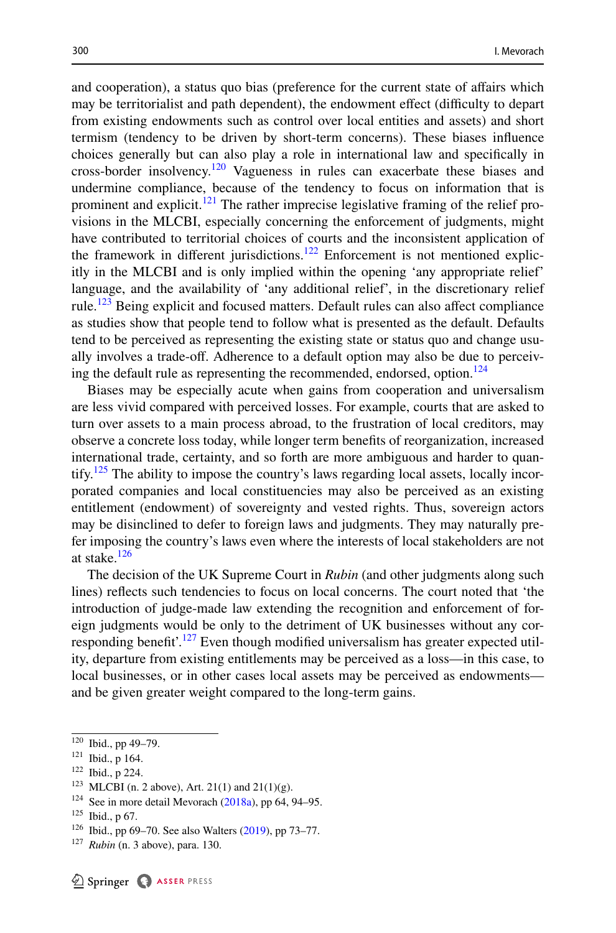and cooperation), a status quo bias (preference for the current state of afairs which may be territorialist and path dependent), the endowment effect (difficulty to depart from existing endowments such as control over local entities and assets) and short termism (tendency to be driven by short-term concerns). These biases infuence choices generally but can also play a role in international law and specifcally in cross-border insolvency.<sup>[120](#page-17-0)</sup> Vagueness in rules can exacerbate these biases and undermine compliance, because of the tendency to focus on information that is prominent and explicit.<sup>121</sup> The rather imprecise legislative framing of the relief provisions in the MLCBI, especially concerning the enforcement of judgments, might have contributed to territorial choices of courts and the inconsistent application of the framework in different jurisdictions.<sup>[122](#page-17-2)</sup> Enforcement is not mentioned explicitly in the MLCBI and is only implied within the opening 'any appropriate relief' language, and the availability of 'any additional relief', in the discretionary relief rule.<sup>123</sup> Being explicit and focused matters. Default rules can also affect compliance as studies show that people tend to follow what is presented as the default. Defaults tend to be perceived as representing the existing state or status quo and change usually involves a trade-of. Adherence to a default option may also be due to perceiv-ing the default rule as representing the recommended, endorsed, option.<sup>[124](#page-17-4)</sup>

Biases may be especially acute when gains from cooperation and universalism are less vivid compared with perceived losses. For example, courts that are asked to turn over assets to a main process abroad, to the frustration of local creditors, may observe a concrete loss today, while longer term benefts of reorganization, increased international trade, certainty, and so forth are more ambiguous and harder to quan-tify.<sup>[125](#page-17-5)</sup> The ability to impose the country's laws regarding local assets, locally incorporated companies and local constituencies may also be perceived as an existing entitlement (endowment) of sovereignty and vested rights. Thus, sovereign actors may be disinclined to defer to foreign laws and judgments. They may naturally prefer imposing the country's laws even where the interests of local stakeholders are not at stake.<sup>[126](#page-17-6)</sup>

The decision of the UK Supreme Court in *Rubin* (and other judgments along such lines) refects such tendencies to focus on local concerns. The court noted that 'the introduction of judge-made law extending the recognition and enforcement of foreign judgments would be only to the detriment of UK businesses without any cor-responding benefit'.<sup>[127](#page-17-7)</sup> Even though modified universalism has greater expected utility, departure from existing entitlements may be perceived as a loss—in this case, to local businesses, or in other cases local assets may be perceived as endowments and be given greater weight compared to the long-term gains.

<span id="page-17-0"></span><sup>120</sup> Ibid., pp 49–79.

<span id="page-17-1"></span><sup>121</sup> Ibid., p 164.

<span id="page-17-2"></span><sup>122</sup> Ibid., p 224.

<span id="page-17-3"></span> $123$  MLCBI (n. 2 above), Art. 21(1) and 21(1)(g).

<span id="page-17-4"></span> $124$  See in more detail Mevorach ([2018a\)](#page-31-1), pp 64, 94–95.

<span id="page-17-5"></span> $125$  Ibid., p 67.

<span id="page-17-6"></span><sup>126</sup> Ibid., pp 69–70. See also Walters ([2019\)](#page-32-7), pp 73–77.

<span id="page-17-7"></span><sup>127</sup> *Rubin* (n. 3 above), para. 130.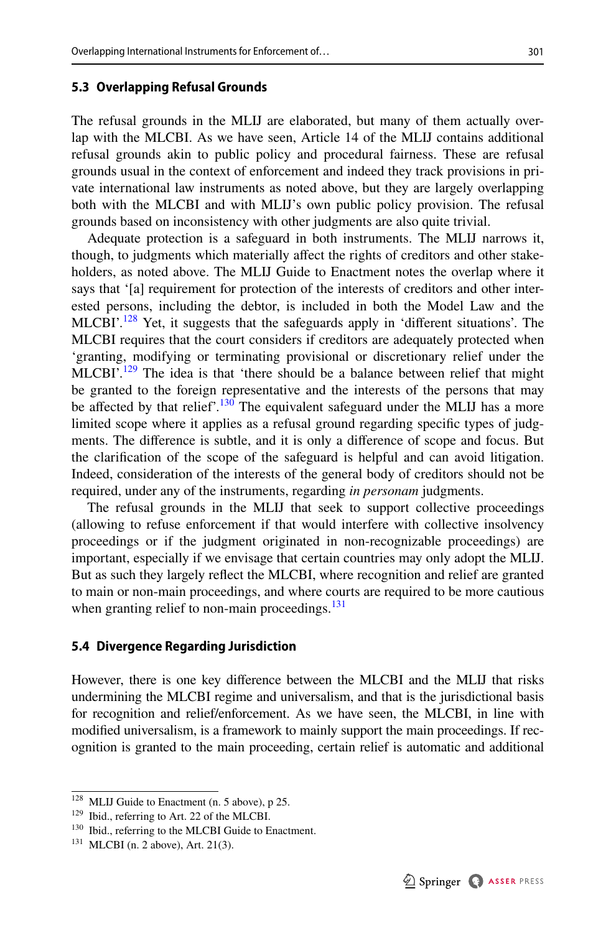### **5.3 Overlapping Refusal Grounds**

The refusal grounds in the MLIJ are elaborated, but many of them actually overlap with the MLCBI. As we have seen, Article 14 of the MLIJ contains additional refusal grounds akin to public policy and procedural fairness. These are refusal grounds usual in the context of enforcement and indeed they track provisions in private international law instruments as noted above, but they are largely overlapping both with the MLCBI and with MLIJ's own public policy provision. The refusal grounds based on inconsistency with other judgments are also quite trivial.

Adequate protection is a safeguard in both instruments. The MLIJ narrows it, though, to judgments which materially afect the rights of creditors and other stakeholders, as noted above. The MLIJ Guide to Enactment notes the overlap where it says that '[a] requirement for protection of the interests of creditors and other interested persons, including the debtor, is included in both the Model Law and the MLCBI'.<sup>[128](#page-18-0)</sup> Yet, it suggests that the safeguards apply in 'different situations'. The MLCBI requires that the court considers if creditors are adequately protected when 'granting, modifying or terminating provisional or discretionary relief under the  $MLCBI'$ <sup>[129](#page-18-1)</sup>. The idea is that 'there should be a balance between relief that might be granted to the foreign representative and the interests of the persons that may be affected by that relief'.<sup>[130](#page-18-2)</sup> The equivalent safeguard under the MLIJ has a more limited scope where it applies as a refusal ground regarding specifc types of judgments. The diference is subtle, and it is only a diference of scope and focus. But the clarifcation of the scope of the safeguard is helpful and can avoid litigation. Indeed, consideration of the interests of the general body of creditors should not be required, under any of the instruments, regarding *in personam* judgments.

The refusal grounds in the MLIJ that seek to support collective proceedings (allowing to refuse enforcement if that would interfere with collective insolvency proceedings or if the judgment originated in non-recognizable proceedings) are important, especially if we envisage that certain countries may only adopt the MLIJ. But as such they largely refect the MLCBI, where recognition and relief are granted to main or non-main proceedings, and where courts are required to be more cautious when granting relief to non-main proceedings. $^{131}$  $^{131}$  $^{131}$ 

# **5.4 Divergence Regarding Jurisdiction**

However, there is one key diference between the MLCBI and the MLIJ that risks undermining the MLCBI regime and universalism, and that is the jurisdictional basis for recognition and relief/enforcement. As we have seen, the MLCBI, in line with modifed universalism, is a framework to mainly support the main proceedings. If recognition is granted to the main proceeding, certain relief is automatic and additional

<span id="page-18-0"></span><sup>&</sup>lt;sup>128</sup> MLIJ Guide to Enactment (n. 5 above), p 25.

<span id="page-18-1"></span><sup>129</sup> Ibid., referring to Art. 22 of the MLCBI.

<span id="page-18-2"></span><sup>130</sup> Ibid., referring to the MLCBI Guide to Enactment.

<span id="page-18-3"></span><sup>131</sup> MLCBI (n. 2 above), Art. 21(3).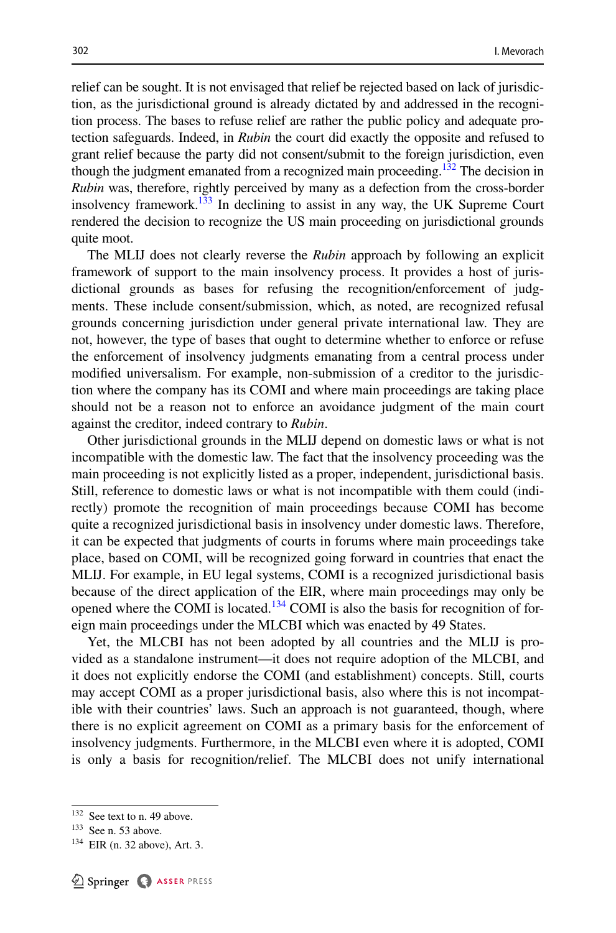relief can be sought. It is not envisaged that relief be rejected based on lack of jurisdiction, as the jurisdictional ground is already dictated by and addressed in the recognition process. The bases to refuse relief are rather the public policy and adequate protection safeguards. Indeed, in *Rubin* the court did exactly the opposite and refused to grant relief because the party did not consent/submit to the foreign jurisdiction, even though the judgment emanated from a recognized main proceeding.<sup>132</sup> The decision in *Rubin* was, therefore, rightly perceived by many as a defection from the cross-border insolvency framework. $133$  In declining to assist in any way, the UK Supreme Court rendered the decision to recognize the US main proceeding on jurisdictional grounds quite moot.

The MLIJ does not clearly reverse the *Rubin* approach by following an explicit framework of support to the main insolvency process. It provides a host of jurisdictional grounds as bases for refusing the recognition/enforcement of judgments. These include consent/submission, which, as noted, are recognized refusal grounds concerning jurisdiction under general private international law. They are not, however, the type of bases that ought to determine whether to enforce or refuse the enforcement of insolvency judgments emanating from a central process under modifed universalism. For example, non-submission of a creditor to the jurisdiction where the company has its COMI and where main proceedings are taking place should not be a reason not to enforce an avoidance judgment of the main court against the creditor, indeed contrary to *Rubin*.

Other jurisdictional grounds in the MLIJ depend on domestic laws or what is not incompatible with the domestic law. The fact that the insolvency proceeding was the main proceeding is not explicitly listed as a proper, independent, jurisdictional basis. Still, reference to domestic laws or what is not incompatible with them could (indirectly) promote the recognition of main proceedings because COMI has become quite a recognized jurisdictional basis in insolvency under domestic laws. Therefore, it can be expected that judgments of courts in forums where main proceedings take place, based on COMI, will be recognized going forward in countries that enact the MLIJ. For example, in EU legal systems, COMI is a recognized jurisdictional basis because of the direct application of the EIR, where main proceedings may only be opened where the COMI is located.<sup>[134](#page-19-2)</sup> COMI is also the basis for recognition of foreign main proceedings under the MLCBI which was enacted by 49 States.

Yet, the MLCBI has not been adopted by all countries and the MLIJ is provided as a standalone instrument—it does not require adoption of the MLCBI, and it does not explicitly endorse the COMI (and establishment) concepts. Still, courts may accept COMI as a proper jurisdictional basis, also where this is not incompatible with their countries' laws. Such an approach is not guaranteed, though, where there is no explicit agreement on COMI as a primary basis for the enforcement of insolvency judgments. Furthermore, in the MLCBI even where it is adopted, COMI is only a basis for recognition/relief. The MLCBI does not unify international

<span id="page-19-0"></span><sup>&</sup>lt;sup>132</sup> See text to n. 49 above.

<span id="page-19-1"></span><sup>133</sup> See n. 53 above.

<span id="page-19-2"></span> $134$  EIR (n. 32 above), Art. 3.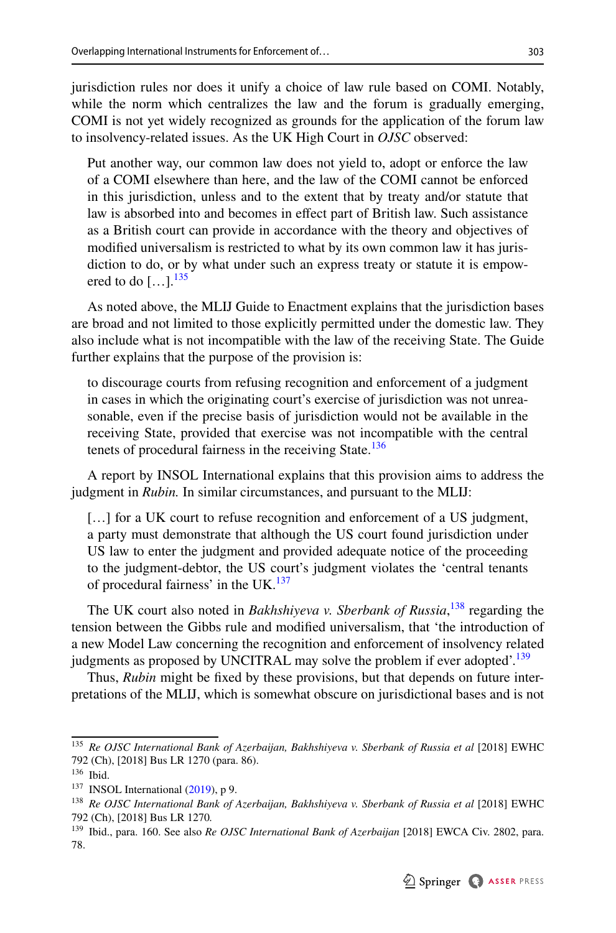jurisdiction rules nor does it unify a choice of law rule based on COMI. Notably, while the norm which centralizes the law and the forum is gradually emerging, COMI is not yet widely recognized as grounds for the application of the forum law to insolvency-related issues. As the UK High Court in *OJSC* observed:

Put another way, our common law does not yield to, adopt or enforce the law of a COMI elsewhere than here, and the law of the COMI cannot be enforced in this jurisdiction, unless and to the extent that by treaty and/or statute that law is absorbed into and becomes in efect part of British law. Such assistance as a British court can provide in accordance with the theory and objectives of modifed universalism is restricted to what by its own common law it has jurisdiction to do, or by what under such an express treaty or statute it is empowered to do  $[\dots]$ .<sup>[135](#page-20-0)</sup>

As noted above, the MLIJ Guide to Enactment explains that the jurisdiction bases are broad and not limited to those explicitly permitted under the domestic law. They also include what is not incompatible with the law of the receiving State. The Guide further explains that the purpose of the provision is:

to discourage courts from refusing recognition and enforcement of a judgment in cases in which the originating court's exercise of jurisdiction was not unreasonable, even if the precise basis of jurisdiction would not be available in the receiving State, provided that exercise was not incompatible with the central tenets of procedural fairness in the receiving State.<sup>[136](#page-20-1)</sup>

A report by INSOL International explains that this provision aims to address the judgment in *Rubin.* In similar circumstances, and pursuant to the MLIJ:

[...] for a UK court to refuse recognition and enforcement of a US judgment, a party must demonstrate that although the US court found jurisdiction under US law to enter the judgment and provided adequate notice of the proceeding to the judgment-debtor, the US court's judgment violates the 'central tenants of procedural fairness' in the UK. $137$ 

The UK court also noted in *Bakhshiyeva v. Sberbank of Russia*, [138](#page-20-3) regarding the tension between the Gibbs rule and modifed universalism, that 'the introduction of a new Model Law concerning the recognition and enforcement of insolvency related judgments as proposed by UNCITRAL may solve the problem if ever adopted'.<sup>139</sup>

Thus, *Rubin* might be fxed by these provisions, but that depends on future interpretations of the MLIJ, which is somewhat obscure on jurisdictional bases and is not

<span id="page-20-0"></span><sup>135</sup> *Re OJSC International Bank of Azerbaijan, Bakhshiyeva v. Sberbank of Russia et al* [2018] EWHC 792 (Ch), [2018] Bus LR 1270 (para. 86).

<span id="page-20-1"></span><sup>136</sup> Ibid.

<span id="page-20-2"></span><sup>&</sup>lt;sup>137</sup> INSOL International ([2019\)](#page-31-11), p 9.

<span id="page-20-3"></span><sup>138</sup> *Re OJSC International Bank of Azerbaijan, Bakhshiyeva v. Sberbank of Russia et al* [2018] EWHC 792 (Ch), [2018] Bus LR 1270*.*

<span id="page-20-4"></span><sup>139</sup> Ibid., para. 160. See also *Re OJSC International Bank of Azerbaijan* [2018] EWCA Civ. 2802, para. 78.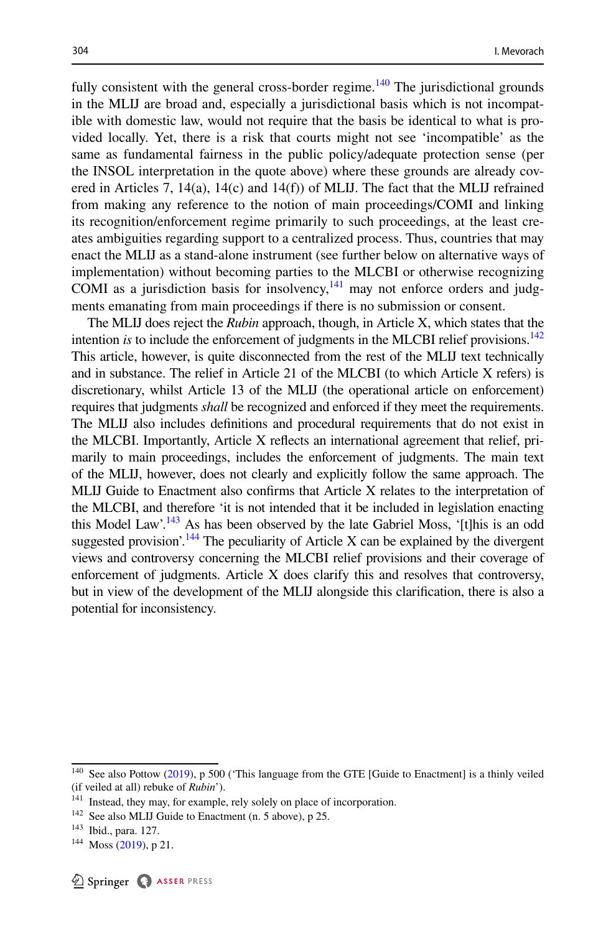fully consistent with the general cross-border regime.<sup>[140](#page-21-0)</sup> The jurisdictional grounds in the MLIJ are broad and, especially a jurisdictional basis which is not incompatible with domestic law, would not require that the basis be identical to what is provided locally. Yet, there is a risk that courts might not see 'incompatible' as the same as fundamental fairness in the public policy/adequate protection sense (per the INSOL interpretation in the quote above) where these grounds are already covered in Articles 7, 14(a), 14(c) and 14(f)) of MLIJ. The fact that the MLIJ refrained from making any reference to the notion of main proceedings/COMI and linking its recognition/enforcement regime primarily to such proceedings, at the least creates ambiguities regarding support to a centralized process. Thus, countries that may enact the MLIJ as a stand-alone instrument (see further below on alternative ways of implementation) without becoming parties to the MLCBI or otherwise recognizing COMI as a jurisdiction basis for insolvency, $141$  may not enforce orders and judgments emanating from main proceedings if there is no submission or consent.

The MLIJ does reject the *Rubin* approach, though, in Article X, which states that the intention *is* to include the enforcement of judgments in the MLCBI relief provisions.<sup>142</sup> This article, however, is quite disconnected from the rest of the MLIJ text technically and in substance. The relief in Article 21 of the MLCBI (to which Article X refers) is discretionary, whilst Article 13 of the MLIJ (the operational article on enforcement) requires that judgments *shall* be recognized and enforced if they meet the requirements. The MLIJ also includes defnitions and procedural requirements that do not exist in the MLCBI. Importantly, Article X refects an international agreement that relief, primarily to main proceedings, includes the enforcement of judgments. The main text of the MLIJ, however, does not clearly and explicitly follow the same approach. The MLIJ Guide to Enactment also confrms that Article X relates to the interpretation of the MLCBI, and therefore 'it is not intended that it be included in legislation enacting this Model Law'.<sup>143</sup> As has been observed by the late Gabriel Moss, '[t]his is an odd suggested provision'.<sup>144</sup> The peculiarity of Article X can be explained by the divergent views and controversy concerning the MLCBI relief provisions and their coverage of enforcement of judgments. Article X does clarify this and resolves that controversy, but in view of the development of the MLIJ alongside this clarifcation, there is also a potential for inconsistency.

<span id="page-21-0"></span><sup>&</sup>lt;sup>140</sup> See also Pottow [\(2019](#page-32-11)), p 500 ('This language from the GTE [Guide to Enactment] is a thinly veiled (if veiled at all) rebuke of *Rubin*').

<span id="page-21-1"></span><sup>&</sup>lt;sup>141</sup> Instead, they may, for example, rely solely on place of incorporation.

<span id="page-21-2"></span><sup>&</sup>lt;sup>142</sup> See also MLIJ Guide to Enactment (n. 5 above), p 25.

<span id="page-21-3"></span><sup>143</sup> Ibid., para. 127.

<span id="page-21-4"></span><sup>144</sup> Moss [\(2019](#page-32-2)), p 21.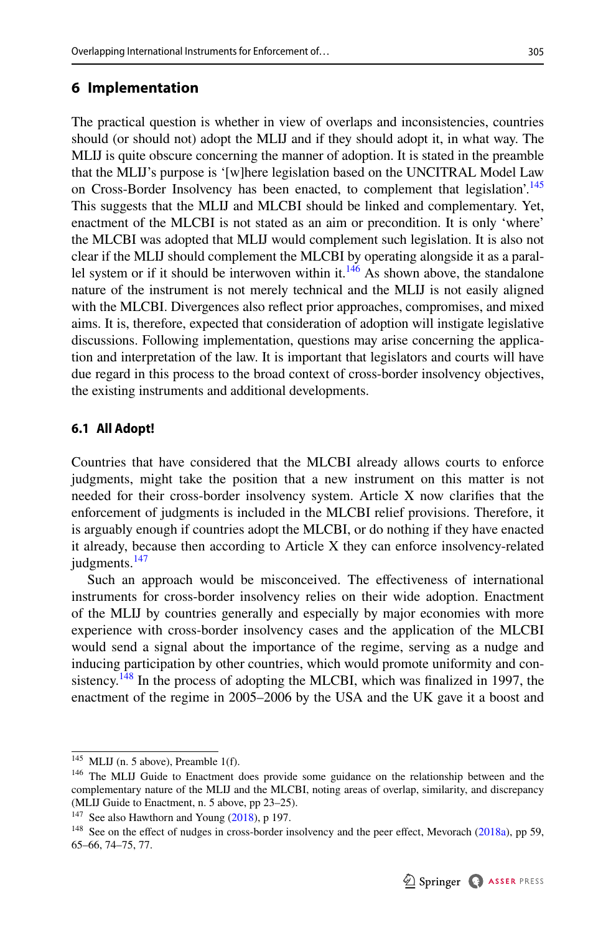## <span id="page-22-0"></span>**6 Implementation**

The practical question is whether in view of overlaps and inconsistencies, countries should (or should not) adopt the MLIJ and if they should adopt it, in what way. The MLIJ is quite obscure concerning the manner of adoption. It is stated in the preamble that the MLIJ's purpose is '[w]here legislation based on the UNCITRAL Model Law on Cross-Border Insolvency has been enacted, to complement that legislation'.<sup>[145](#page-22-1)</sup> This suggests that the MLIJ and MLCBI should be linked and complementary. Yet, enactment of the MLCBI is not stated as an aim or precondition. It is only 'where' the MLCBI was adopted that MLIJ would complement such legislation. It is also not clear if the MLIJ should complement the MLCBI by operating alongside it as a paral-lel system or if it should be interwoven within it.<sup>[146](#page-22-2)</sup> As shown above, the standalone nature of the instrument is not merely technical and the MLIJ is not easily aligned with the MLCBI. Divergences also refect prior approaches, compromises, and mixed aims. It is, therefore, expected that consideration of adoption will instigate legislative discussions. Following implementation, questions may arise concerning the application and interpretation of the law. It is important that legislators and courts will have due regard in this process to the broad context of cross-border insolvency objectives, the existing instruments and additional developments.

### **6.1 All Adopt!**

Countries that have considered that the MLCBI already allows courts to enforce judgments, might take the position that a new instrument on this matter is not needed for their cross-border insolvency system. Article X now clarifes that the enforcement of judgments is included in the MLCBI relief provisions. Therefore, it is arguably enough if countries adopt the MLCBI, or do nothing if they have enacted it already, because then according to Article X they can enforce insolvency-related judgments.<sup>147</sup>

Such an approach would be misconceived. The efectiveness of international instruments for cross-border insolvency relies on their wide adoption. Enactment of the MLIJ by countries generally and especially by major economies with more experience with cross-border insolvency cases and the application of the MLCBI would send a signal about the importance of the regime, serving as a nudge and inducing participation by other countries, which would promote uniformity and con-sistency.<sup>[148](#page-22-4)</sup> In the process of adopting the MLCBI, which was finalized in 1997, the enactment of the regime in 2005–2006 by the USA and the UK gave it a boost and

<span id="page-22-1"></span> $145$  MLIJ (n. 5 above), Preamble 1(f).

<span id="page-22-2"></span><sup>&</sup>lt;sup>146</sup> The MLIJ Guide to Enactment does provide some guidance on the relationship between and the complementary nature of the MLIJ and the MLCBI, noting areas of overlap, similarity, and discrepancy (MLIJ Guide to Enactment, n. 5 above, pp 23–25).

<span id="page-22-3"></span><sup>&</sup>lt;sup>147</sup> See also Hawthorn and Young  $(2018)$  $(2018)$ , p 197.

<span id="page-22-4"></span><sup>&</sup>lt;sup>148</sup> See on the effect of nudges in cross-border insolvency and the peer effect, Mevorach ([2018a](#page-31-1)), pp 59, 65–66, 74–75, 77.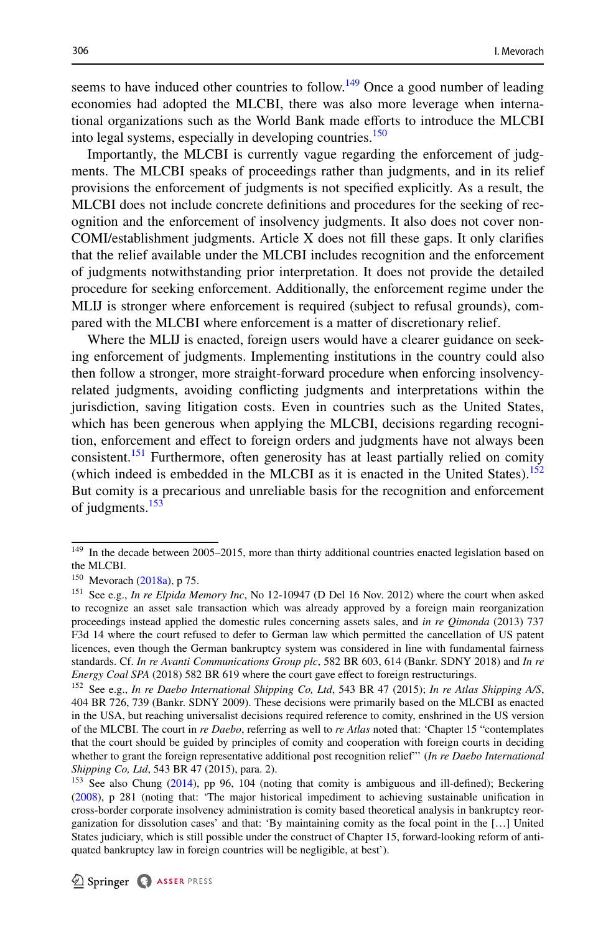seems to have induced other countries to follow.<sup>149</sup> Once a good number of leading economies had adopted the MLCBI, there was also more leverage when international organizations such as the World Bank made eforts to introduce the MLCBI into legal systems, especially in developing countries.<sup>[150](#page-23-1)</sup>

Importantly, the MLCBI is currently vague regarding the enforcement of judgments. The MLCBI speaks of proceedings rather than judgments, and in its relief provisions the enforcement of judgments is not specifed explicitly. As a result, the MLCBI does not include concrete defnitions and procedures for the seeking of recognition and the enforcement of insolvency judgments. It also does not cover non-COMI/establishment judgments. Article X does not fll these gaps. It only clarifes that the relief available under the MLCBI includes recognition and the enforcement of judgments notwithstanding prior interpretation. It does not provide the detailed procedure for seeking enforcement. Additionally, the enforcement regime under the MLIJ is stronger where enforcement is required (subject to refusal grounds), compared with the MLCBI where enforcement is a matter of discretionary relief.

Where the MLIJ is enacted, foreign users would have a clearer guidance on seeking enforcement of judgments. Implementing institutions in the country could also then follow a stronger, more straight-forward procedure when enforcing insolvencyrelated judgments, avoiding conficting judgments and interpretations within the jurisdiction, saving litigation costs. Even in countries such as the United States, which has been generous when applying the MLCBI, decisions regarding recognition, enforcement and effect to foreign orders and judgments have not always been consistent.<sup>151</sup> Furthermore, often generosity has at least partially relied on comity (which indeed is embedded in the MLCBI as it is enacted in the United States).<sup>[152](#page-23-3)</sup> But comity is a precarious and unreliable basis for the recognition and enforcement of judgments.<sup>153</sup>

<span id="page-23-0"></span><sup>&</sup>lt;sup>149</sup> In the decade between 2005–2015, more than thirty additional countries enacted legislation based on the MLCBI.

<span id="page-23-1"></span><sup>150</sup> Mevorach [\(2018a\)](#page-31-1), p 75.

<span id="page-23-2"></span><sup>151</sup> See e.g., *In re Elpida Memory Inc*, No 12-10947 (D Del 16 Nov. 2012) where the court when asked to recognize an asset sale transaction which was already approved by a foreign main reorganization proceedings instead applied the domestic rules concerning assets sales, and *in re Qimonda* (2013) 737 F3d 14 where the court refused to defer to German law which permitted the cancellation of US patent licences, even though the German bankruptcy system was considered in line with fundamental fairness standards. Cf. *In re Avanti Communications Group plc*, 582 BR 603, 614 (Bankr. SDNY 2018) and *In re Energy Coal SPA* (2018) 582 BR 619 where the court gave effect to foreign restructurings.

<span id="page-23-3"></span><sup>152</sup> See e.g., *In re Daebo International Shipping Co, Ltd*, 543 BR 47 (2015); *In re Atlas Shipping A/S*, 404 BR 726, 739 (Bankr. SDNY 2009). These decisions were primarily based on the MLCBI as enacted in the USA, but reaching universalist decisions required reference to comity, enshrined in the US version of the MLCBI. The court in *re Daebo*, referring as well to *re Atlas* noted that: 'Chapter 15 "contemplates that the court should be guided by principles of comity and cooperation with foreign courts in deciding whether to grant the foreign representative additional post recognition relief"' (*In re Daebo International Shipping Co, Ltd*, 543 BR 47 (2015), para. 2).

<span id="page-23-4"></span><sup>&</sup>lt;sup>153</sup> See also Chung ([2014\)](#page-31-12), pp 96, 104 (noting that comity is ambiguous and ill-defined); Beckering ([2008\)](#page-31-13), p 281 (noting that: 'The major historical impediment to achieving sustainable unifcation in cross-border corporate insolvency administration is comity based theoretical analysis in bankruptcy reorganization for dissolution cases' and that: 'By maintaining comity as the focal point in the […] United States judiciary, which is still possible under the construct of Chapter 15, forward-looking reform of antiquated bankruptcy law in foreign countries will be negligible, at best').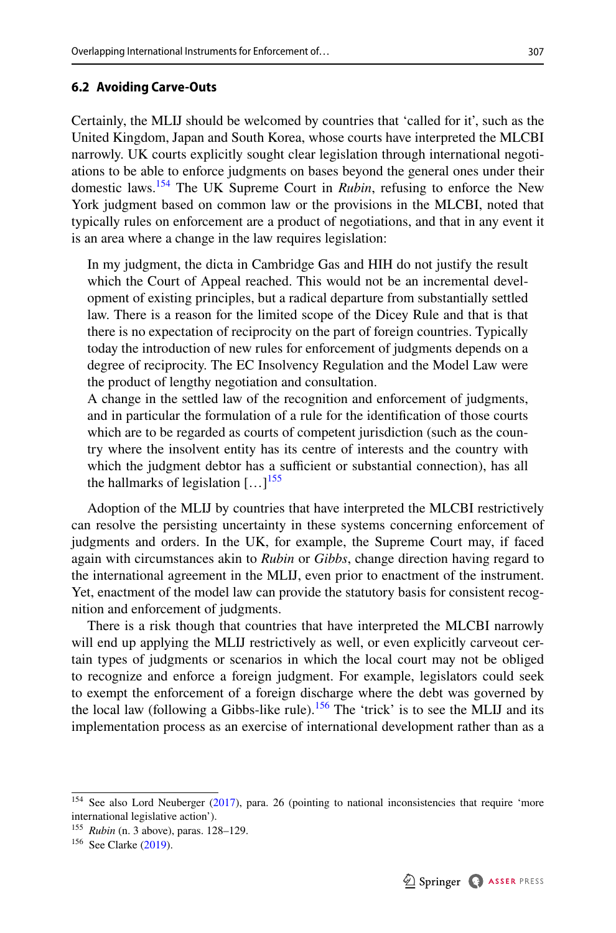#### **6.2 Avoiding Carve‑Outs**

Certainly, the MLIJ should be welcomed by countries that 'called for it', such as the United Kingdom, Japan and South Korea, whose courts have interpreted the MLCBI narrowly. UK courts explicitly sought clear legislation through international negotiations to be able to enforce judgments on bases beyond the general ones under their domestic laws[.154](#page-24-0) The UK Supreme Court in *Rubin*, refusing to enforce the New York judgment based on common law or the provisions in the MLCBI, noted that typically rules on enforcement are a product of negotiations, and that in any event it is an area where a change in the law requires legislation:

In my judgment, the dicta in Cambridge Gas and HIH do not justify the result which the Court of Appeal reached. This would not be an incremental development of existing principles, but a radical departure from substantially settled law. There is a reason for the limited scope of the Dicey Rule and that is that there is no expectation of reciprocity on the part of foreign countries. Typically today the introduction of new rules for enforcement of judgments depends on a degree of reciprocity. The EC Insolvency Regulation and the Model Law were the product of lengthy negotiation and consultation.

A change in the settled law of the recognition and enforcement of judgments, and in particular the formulation of a rule for the identifcation of those courts which are to be regarded as courts of competent jurisdiction (such as the country where the insolvent entity has its centre of interests and the country with which the judgment debtor has a sufficient or substantial connection), has all the hallmarks of legislation  $\left[ \ldots \right]^{155}$  $\left[ \ldots \right]^{155}$  $\left[ \ldots \right]^{155}$ 

Adoption of the MLIJ by countries that have interpreted the MLCBI restrictively can resolve the persisting uncertainty in these systems concerning enforcement of judgments and orders. In the UK, for example, the Supreme Court may, if faced again with circumstances akin to *Rubin* or *Gibbs*, change direction having regard to the international agreement in the MLIJ, even prior to enactment of the instrument. Yet, enactment of the model law can provide the statutory basis for consistent recognition and enforcement of judgments.

There is a risk though that countries that have interpreted the MLCBI narrowly will end up applying the MLIJ restrictively as well, or even explicitly carveout certain types of judgments or scenarios in which the local court may not be obliged to recognize and enforce a foreign judgment. For example, legislators could seek to exempt the enforcement of a foreign discharge where the debt was governed by the local law (following a Gibbs-like rule).<sup>[156](#page-24-2)</sup> The 'trick' is to see the MLIJ and its implementation process as an exercise of international development rather than as a

<span id="page-24-0"></span><sup>&</sup>lt;sup>154</sup> See also Lord Neuberger [\(2017](#page-32-12)), para. 26 (pointing to national inconsistencies that require 'more international legislative action').

<span id="page-24-1"></span><sup>155</sup> *Rubin* (n. 3 above), paras. 128–129.

<span id="page-24-2"></span><sup>156</sup> See Clarke ([2019\)](#page-31-14).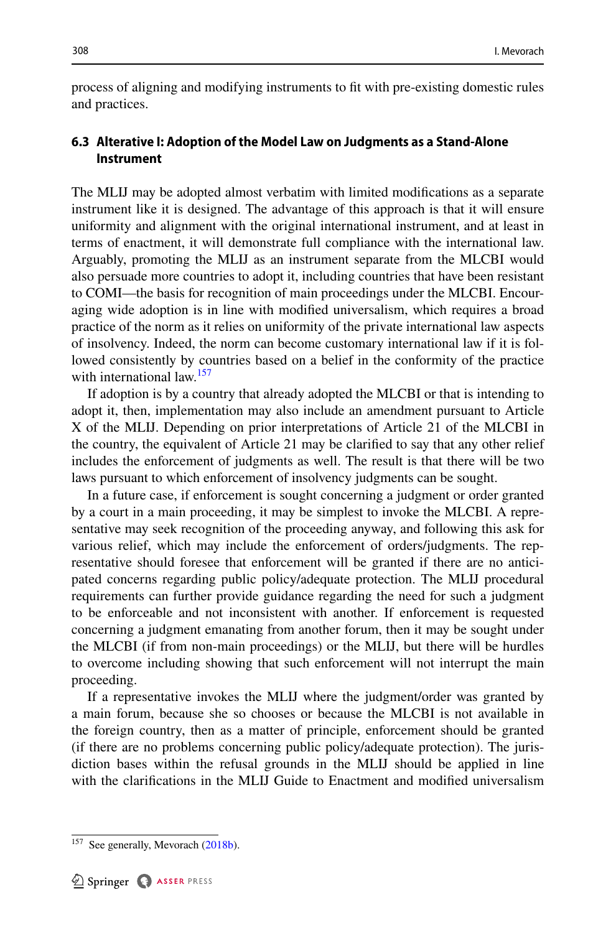process of aligning and modifying instruments to ft with pre-existing domestic rules and practices.

# **6.3 Alterative I: Adoption of the Model Law on Judgments as a Stand‑Alone Instrument**

The MLIJ may be adopted almost verbatim with limited modifcations as a separate instrument like it is designed. The advantage of this approach is that it will ensure uniformity and alignment with the original international instrument, and at least in terms of enactment, it will demonstrate full compliance with the international law. Arguably, promoting the MLIJ as an instrument separate from the MLCBI would also persuade more countries to adopt it, including countries that have been resistant to COMI—the basis for recognition of main proceedings under the MLCBI. Encouraging wide adoption is in line with modifed universalism, which requires a broad practice of the norm as it relies on uniformity of the private international law aspects of insolvency. Indeed, the norm can become customary international law if it is followed consistently by countries based on a belief in the conformity of the practice with international law.<sup>[157](#page-25-0)</sup>

If adoption is by a country that already adopted the MLCBI or that is intending to adopt it, then, implementation may also include an amendment pursuant to Article X of the MLIJ. Depending on prior interpretations of Article 21 of the MLCBI in the country, the equivalent of Article 21 may be clarifed to say that any other relief includes the enforcement of judgments as well. The result is that there will be two laws pursuant to which enforcement of insolvency judgments can be sought.

In a future case, if enforcement is sought concerning a judgment or order granted by a court in a main proceeding, it may be simplest to invoke the MLCBI. A representative may seek recognition of the proceeding anyway, and following this ask for various relief, which may include the enforcement of orders/judgments. The representative should foresee that enforcement will be granted if there are no anticipated concerns regarding public policy/adequate protection. The MLIJ procedural requirements can further provide guidance regarding the need for such a judgment to be enforceable and not inconsistent with another. If enforcement is requested concerning a judgment emanating from another forum, then it may be sought under the MLCBI (if from non-main proceedings) or the MLIJ, but there will be hurdles to overcome including showing that such enforcement will not interrupt the main proceeding.

If a representative invokes the MLIJ where the judgment/order was granted by a main forum, because she so chooses or because the MLCBI is not available in the foreign country, then as a matter of principle, enforcement should be granted (if there are no problems concerning public policy/adequate protection). The jurisdiction bases within the refusal grounds in the MLIJ should be applied in line with the clarifcations in the MLIJ Guide to Enactment and modifed universalism

<span id="page-25-0"></span><sup>&</sup>lt;sup>157</sup> See generally, Mevorach ([2018b\)](#page-32-5).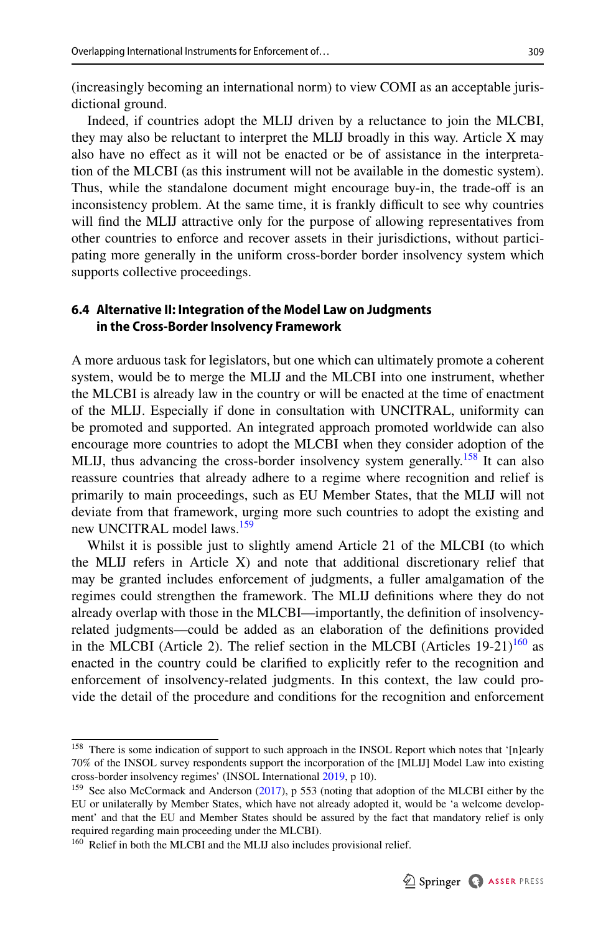(increasingly becoming an international norm) to view COMI as an acceptable jurisdictional ground.

Indeed, if countries adopt the MLIJ driven by a reluctance to join the MLCBI, they may also be reluctant to interpret the MLIJ broadly in this way. Article X may also have no efect as it will not be enacted or be of assistance in the interpretation of the MLCBI (as this instrument will not be available in the domestic system). Thus, while the standalone document might encourage buy-in, the trade-of is an inconsistency problem. At the same time, it is frankly difficult to see why countries will fnd the MLIJ attractive only for the purpose of allowing representatives from other countries to enforce and recover assets in their jurisdictions, without participating more generally in the uniform cross-border border insolvency system which supports collective proceedings.

# **6.4 Alternative II: Integration of the Model Law on Judgments in the Cross‑Border Insolvency Framework**

A more arduous task for legislators, but one which can ultimately promote a coherent system, would be to merge the MLIJ and the MLCBI into one instrument, whether the MLCBI is already law in the country or will be enacted at the time of enactment of the MLIJ. Especially if done in consultation with UNCITRAL, uniformity can be promoted and supported. An integrated approach promoted worldwide can also encourage more countries to adopt the MLCBI when they consider adoption of the MLIJ, thus advancing the cross-border insolvency system generally.<sup>[158](#page-26-0)</sup> It can also reassure countries that already adhere to a regime where recognition and relief is primarily to main proceedings, such as EU Member States, that the MLIJ will not deviate from that framework, urging more such countries to adopt the existing and new UNCITRAL model laws.<sup>[159](#page-26-1)</sup>

Whilst it is possible just to slightly amend Article 21 of the MLCBI (to which the MLIJ refers in Article X) and note that additional discretionary relief that may be granted includes enforcement of judgments, a fuller amalgamation of the regimes could strengthen the framework. The MLIJ defnitions where they do not already overlap with those in the MLCBI—importantly, the defnition of insolvencyrelated judgments—could be added as an elaboration of the defnitions provided in the MLCBI (Article 2). The relief section in the MLCBI (Articles  $19-21$ )<sup>[160](#page-26-2)</sup> as enacted in the country could be clarifed to explicitly refer to the recognition and enforcement of insolvency-related judgments. In this context, the law could provide the detail of the procedure and conditions for the recognition and enforcement

<span id="page-26-0"></span><sup>&</sup>lt;sup>158</sup> There is some indication of support to such approach in the INSOL Report which notes that '[n]early 70% of the INSOL survey respondents support the incorporation of the [MLIJ] Model Law into existing cross-border insolvency regimes' (INSOL International [2019](#page-31-11), p 10).

<span id="page-26-1"></span><sup>&</sup>lt;sup>159</sup> See also McCormack and Anderson ([2017\)](#page-31-15), p 553 (noting that adoption of the MLCBI either by the EU or unilaterally by Member States, which have not already adopted it, would be 'a welcome development' and that the EU and Member States should be assured by the fact that mandatory relief is only required regarding main proceeding under the MLCBI).

<span id="page-26-2"></span><sup>&</sup>lt;sup>160</sup> Relief in both the MLCBI and the MLIJ also includes provisional relief.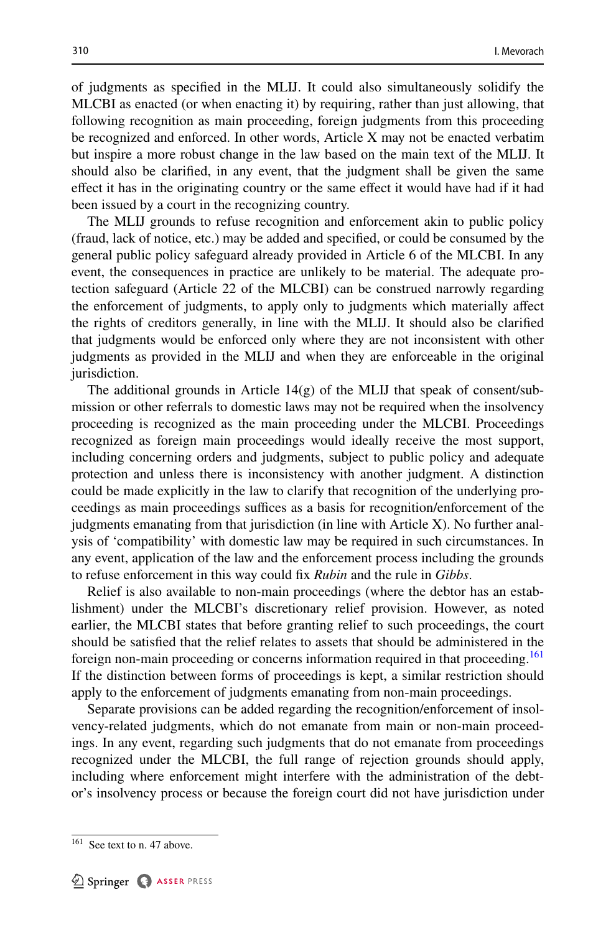of judgments as specifed in the MLIJ. It could also simultaneously solidify the MLCBI as enacted (or when enacting it) by requiring, rather than just allowing, that following recognition as main proceeding, foreign judgments from this proceeding be recognized and enforced. In other words, Article X may not be enacted verbatim but inspire a more robust change in the law based on the main text of the MLIJ. It should also be clarifed, in any event, that the judgment shall be given the same efect it has in the originating country or the same efect it would have had if it had been issued by a court in the recognizing country.

The MLIJ grounds to refuse recognition and enforcement akin to public policy (fraud, lack of notice, etc.) may be added and specifed, or could be consumed by the general public policy safeguard already provided in Article 6 of the MLCBI. In any event, the consequences in practice are unlikely to be material. The adequate protection safeguard (Article 22 of the MLCBI) can be construed narrowly regarding the enforcement of judgments, to apply only to judgments which materially afect the rights of creditors generally, in line with the MLIJ. It should also be clarifed that judgments would be enforced only where they are not inconsistent with other judgments as provided in the MLIJ and when they are enforceable in the original jurisdiction.

The additional grounds in Article  $14(g)$  of the MLIJ that speak of consent/submission or other referrals to domestic laws may not be required when the insolvency proceeding is recognized as the main proceeding under the MLCBI. Proceedings recognized as foreign main proceedings would ideally receive the most support, including concerning orders and judgments, subject to public policy and adequate protection and unless there is inconsistency with another judgment. A distinction could be made explicitly in the law to clarify that recognition of the underlying proceedings as main proceedings suffices as a basis for recognition/enforcement of the judgments emanating from that jurisdiction (in line with Article X). No further analysis of 'compatibility' with domestic law may be required in such circumstances. In any event, application of the law and the enforcement process including the grounds to refuse enforcement in this way could fx *Rubin* and the rule in *Gibbs*.

Relief is also available to non-main proceedings (where the debtor has an establishment) under the MLCBI's discretionary relief provision. However, as noted earlier, the MLCBI states that before granting relief to such proceedings, the court should be satisfed that the relief relates to assets that should be administered in the foreign non-main proceeding or concerns information required in that proceeding.<sup>[161](#page-27-0)</sup> If the distinction between forms of proceedings is kept, a similar restriction should apply to the enforcement of judgments emanating from non-main proceedings.

Separate provisions can be added regarding the recognition/enforcement of insolvency-related judgments, which do not emanate from main or non-main proceedings. In any event, regarding such judgments that do not emanate from proceedings recognized under the MLCBI, the full range of rejection grounds should apply, including where enforcement might interfere with the administration of the debtor's insolvency process or because the foreign court did not have jurisdiction under

<span id="page-27-0"></span><sup>&</sup>lt;sup>161</sup> See text to n. 47 above.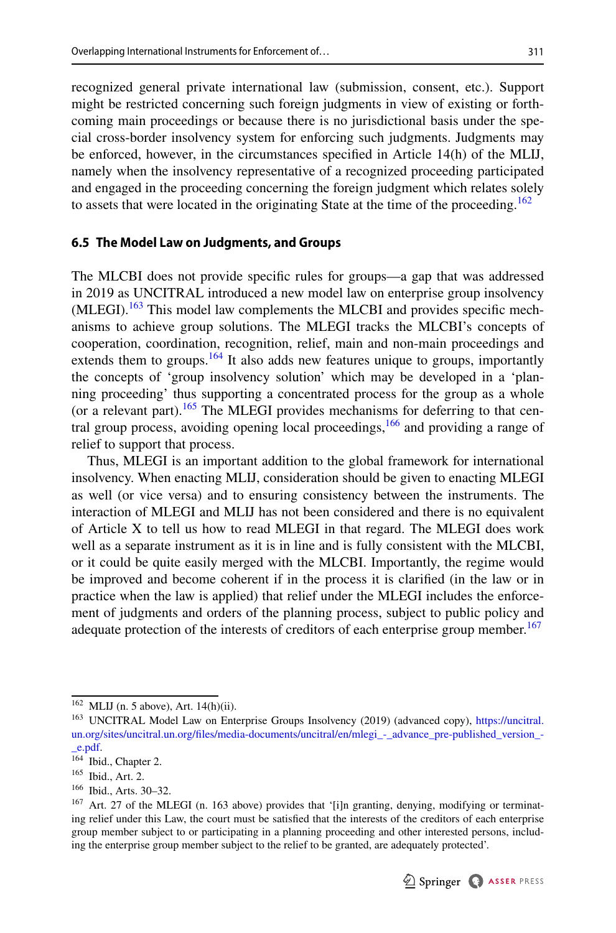recognized general private international law (submission, consent, etc.). Support might be restricted concerning such foreign judgments in view of existing or forthcoming main proceedings or because there is no jurisdictional basis under the special cross-border insolvency system for enforcing such judgments. Judgments may be enforced, however, in the circumstances specifed in Article 14(h) of the MLIJ, namely when the insolvency representative of a recognized proceeding participated and engaged in the proceeding concerning the foreign judgment which relates solely to assets that were located in the originating State at the time of the proceeding.<sup>162</sup>

# **6.5 The Model Law on Judgments, and Groups**

The MLCBI does not provide specifc rules for groups—a gap that was addressed in 2019 as UNCITRAL introduced a new model law on enterprise group insolvency (MLEGI).<sup>[163](#page-28-1)</sup> This model law complements the MLCBI and provides specific mechanisms to achieve group solutions. The MLEGI tracks the MLCBI's concepts of cooperation, coordination, recognition, relief, main and non-main proceedings and extends them to groups. $164$  It also adds new features unique to groups, importantly the concepts of 'group insolvency solution' which may be developed in a 'planning proceeding' thus supporting a concentrated process for the group as a whole (or a relevant part).<sup>165</sup> The MLEGI provides mechanisms for deferring to that central group process, avoiding opening local proceedings,  $166$  and providing a range of relief to support that process.

Thus, MLEGI is an important addition to the global framework for international insolvency. When enacting MLIJ, consideration should be given to enacting MLEGI as well (or vice versa) and to ensuring consistency between the instruments. The interaction of MLEGI and MLIJ has not been considered and there is no equivalent of Article X to tell us how to read MLEGI in that regard. The MLEGI does work well as a separate instrument as it is in line and is fully consistent with the MLCBI, or it could be quite easily merged with the MLCBI. Importantly, the regime would be improved and become coherent if in the process it is clarifed (in the law or in practice when the law is applied) that relief under the MLEGI includes the enforcement of judgments and orders of the planning process, subject to public policy and adequate protection of the interests of creditors of each enterprise group member.<sup>167</sup>

<span id="page-28-0"></span> $\overline{^{162}$  MLIJ (n. 5 above), Art. 14(h)(ii).

<span id="page-28-1"></span><sup>&</sup>lt;sup>163</sup> UNCITRAL Model Law on Enterprise Groups Insolvency (2019) (advanced copy), [https://uncitral.](https://uncitral.un.org/sites/uncitral.un.org/files/media-documents/uncitral/en/mlegi_-_advance_pre-published_version_-_e.pdf) [un.org/sites/uncitral.un.org/fles/media-documents/uncitral/en/mlegi\\_-\\_advance\\_pre-published\\_version\\_-](https://uncitral.un.org/sites/uncitral.un.org/files/media-documents/uncitral/en/mlegi_-_advance_pre-published_version_-_e.pdf) [\\_e.pdf](https://uncitral.un.org/sites/uncitral.un.org/files/media-documents/uncitral/en/mlegi_-_advance_pre-published_version_-_e.pdf).

<span id="page-28-2"></span><sup>164</sup> Ibid., Chapter 2.

<span id="page-28-3"></span><sup>165</sup> Ibid., Art. 2.

<span id="page-28-4"></span><sup>166</sup> Ibid., Arts. 30–32.

<span id="page-28-5"></span><sup>&</sup>lt;sup>167</sup> Art. 27 of the MLEGI (n. 163 above) provides that '[i]n granting, denying, modifying or terminating relief under this Law, the court must be satisfed that the interests of the creditors of each enterprise group member subject to or participating in a planning proceeding and other interested persons, including the enterprise group member subject to the relief to be granted, are adequately protected'.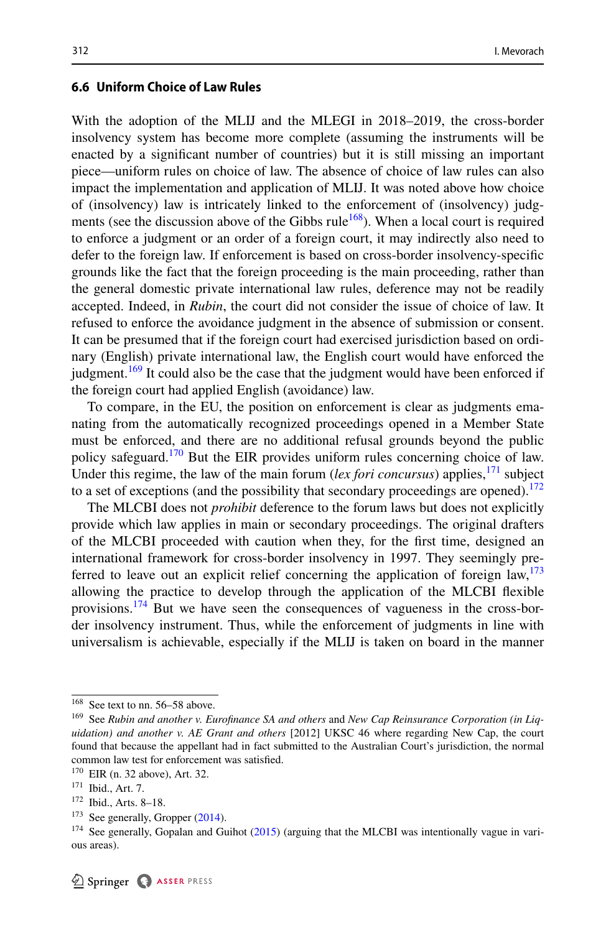#### **6.6 Uniform Choice of Law Rules**

With the adoption of the MLIJ and the MLEGI in 2018–2019, the cross-border insolvency system has become more complete (assuming the instruments will be enacted by a signifcant number of countries) but it is still missing an important piece—uniform rules on choice of law. The absence of choice of law rules can also impact the implementation and application of MLIJ. It was noted above how choice of (insolvency) law is intricately linked to the enforcement of (insolvency) judg-ments (see the discussion above of the Gibbs rule<sup>[168](#page-29-0)</sup>). When a local court is required to enforce a judgment or an order of a foreign court, it may indirectly also need to defer to the foreign law. If enforcement is based on cross-border insolvency-specifc grounds like the fact that the foreign proceeding is the main proceeding, rather than the general domestic private international law rules, deference may not be readily accepted. Indeed, in *Rubin*, the court did not consider the issue of choice of law. It refused to enforce the avoidance judgment in the absence of submission or consent. It can be presumed that if the foreign court had exercised jurisdiction based on ordinary (English) private international law, the English court would have enforced the judgment.<sup>169</sup> It could also be the case that the judgment would have been enforced if the foreign court had applied English (avoidance) law.

To compare, in the EU, the position on enforcement is clear as judgments emanating from the automatically recognized proceedings opened in a Member State must be enforced, and there are no additional refusal grounds beyond the public policy safeguard.<sup>170</sup> But the EIR provides uniform rules concerning choice of law. Under this regime, the law of the main forum (*lex fori concursus*) applies, <sup>[171](#page-29-3)</sup> subject to a set of exceptions (and the possibility that secondary proceedings are opened).<sup>[172](#page-29-4)</sup>

The MLCBI does not *prohibit* deference to the forum laws but does not explicitly provide which law applies in main or secondary proceedings. The original drafters of the MLCBI proceeded with caution when they, for the frst time, designed an international framework for cross-border insolvency in 1997. They seemingly preferred to leave out an explicit relief concerning the application of foreign  $\text{law}$ ,  $^{173}$  $^{173}$  $^{173}$ allowing the practice to develop through the application of the MLCBI fexible provisions.[174](#page-29-6) But we have seen the consequences of vagueness in the cross-border insolvency instrument. Thus, while the enforcement of judgments in line with universalism is achievable, especially if the MLIJ is taken on board in the manner

<span id="page-29-0"></span><sup>168</sup> See text to nn. 56–58 above.

<span id="page-29-1"></span><sup>169</sup> See *Rubin and another v. Eurofnance SA and others* and *New Cap Reinsurance Corporation (in Liquidation) and another v. AE Grant and others* [2012] UKSC 46 where regarding New Cap, the court found that because the appellant had in fact submitted to the Australian Court's jurisdiction, the normal common law test for enforcement was satisfed.

<span id="page-29-2"></span><sup>170</sup> EIR (n. 32 above), Art. 32.

<span id="page-29-3"></span><sup>171</sup> Ibid., Art. 7.

<span id="page-29-4"></span><sup>172</sup> Ibid., Arts. 8–18.

<span id="page-29-5"></span><sup>&</sup>lt;sup>173</sup> See generally, Gropper [\(2014](#page-31-16)).

<span id="page-29-6"></span><sup>&</sup>lt;sup>174</sup> See generally, Gopalan and Guihot  $(2015)$  $(2015)$  (arguing that the MLCBI was intentionally vague in various areas).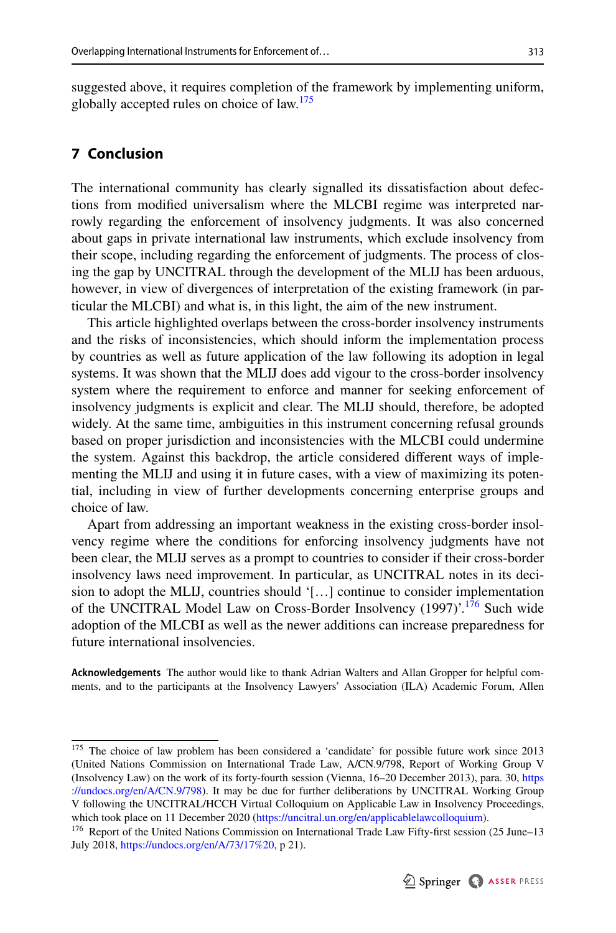suggested above, it requires completion of the framework by implementing uniform, globally accepted rules on choice of law.<sup>[175](#page-30-1)</sup>

# <span id="page-30-0"></span>**7 Conclusion**

The international community has clearly signalled its dissatisfaction about defections from modifed universalism where the MLCBI regime was interpreted narrowly regarding the enforcement of insolvency judgments. It was also concerned about gaps in private international law instruments, which exclude insolvency from their scope, including regarding the enforcement of judgments. The process of closing the gap by UNCITRAL through the development of the MLIJ has been arduous, however, in view of divergences of interpretation of the existing framework (in particular the MLCBI) and what is, in this light, the aim of the new instrument.

This article highlighted overlaps between the cross-border insolvency instruments and the risks of inconsistencies, which should inform the implementation process by countries as well as future application of the law following its adoption in legal systems. It was shown that the MLIJ does add vigour to the cross-border insolvency system where the requirement to enforce and manner for seeking enforcement of insolvency judgments is explicit and clear. The MLIJ should, therefore, be adopted widely. At the same time, ambiguities in this instrument concerning refusal grounds based on proper jurisdiction and inconsistencies with the MLCBI could undermine the system. Against this backdrop, the article considered diferent ways of implementing the MLIJ and using it in future cases, with a view of maximizing its potential, including in view of further developments concerning enterprise groups and choice of law.

Apart from addressing an important weakness in the existing cross-border insolvency regime where the conditions for enforcing insolvency judgments have not been clear, the MLIJ serves as a prompt to countries to consider if their cross-border insolvency laws need improvement. In particular, as UNCITRAL notes in its decision to adopt the MLIJ, countries should '[…] continue to consider implementation of the UNCITRAL Model Law on Cross-Border Insolvency (1997)'.<sup>[176](#page-30-2)</sup> Such wide adoption of the MLCBI as well as the newer additions can increase preparedness for future international insolvencies.

**Acknowledgements** The author would like to thank Adrian Walters and Allan Gropper for helpful comments, and to the participants at the Insolvency Lawyers' Association (ILA) Academic Forum, Allen

<span id="page-30-1"></span><sup>&</sup>lt;sup>175</sup> The choice of law problem has been considered a 'candidate' for possible future work since 2013 (United Nations Commission on International Trade Law, A/CN.9/798, Report of Working Group V (Insolvency Law) on the work of its forty-fourth session (Vienna, 16–20 December 2013), para. 30, [https](https://undocs.org/en/A/CN.9/798) [://undocs.org/en/A/CN.9/798](https://undocs.org/en/A/CN.9/798)). It may be due for further deliberations by UNCITRAL Working Group V following the UNCITRAL/HCCH Virtual Colloquium on Applicable Law in Insolvency Proceedings, which took place on 11 December 2020 [\(https://uncitral.un.org/en/applicablelawcolloquium\)](https://uncitral.un.org/en/applicablelawcolloquium).

<span id="page-30-2"></span><sup>&</sup>lt;sup>176</sup> Report of the United Nations Commission on International Trade Law Fifty-first session (25 June–13 July 2018, [https://undocs.org/en/A/73/17%20,](https://undocs.org/en/A/73/17%20) p 21).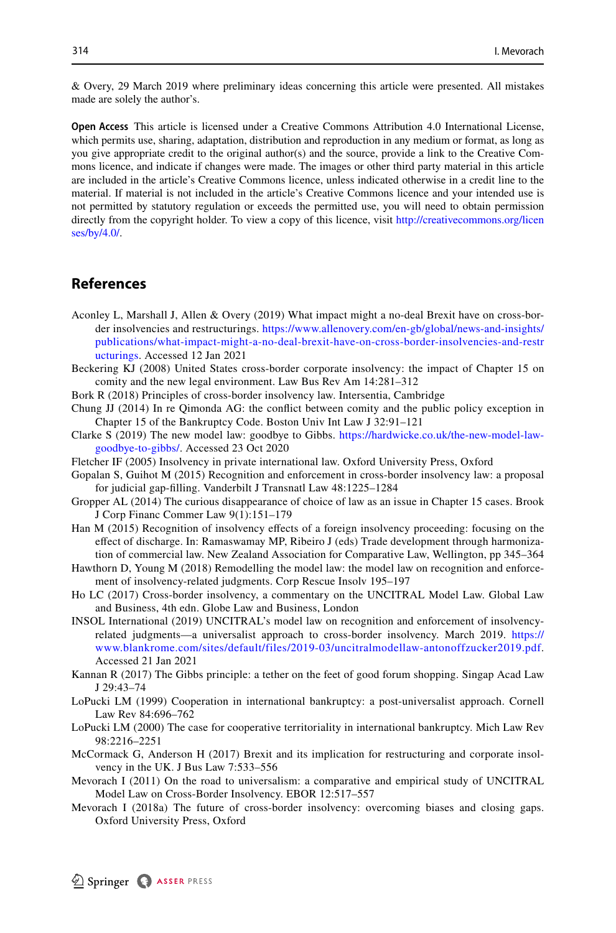& Overy, 29 March 2019 where preliminary ideas concerning this article were presented. All mistakes made are solely the author's.

**Open Access** This article is licensed under a Creative Commons Attribution 4.0 International License, which permits use, sharing, adaptation, distribution and reproduction in any medium or format, as long as you give appropriate credit to the original author(s) and the source, provide a link to the Creative Commons licence, and indicate if changes were made. The images or other third party material in this article are included in the article's Creative Commons licence, unless indicated otherwise in a credit line to the material. If material is not included in the article's Creative Commons licence and your intended use is not permitted by statutory regulation or exceeds the permitted use, you will need to obtain permission directly from the copyright holder. To view a copy of this licence, visit [http://creativecommons.org/licen](http://creativecommons.org/licenses/by/4.0/) [ses/by/4.0/](http://creativecommons.org/licenses/by/4.0/).

# **References**

- <span id="page-31-7"></span>Aconley L, Marshall J, Allen & Overy (2019) What impact might a no-deal Brexit have on cross-border insolvencies and restructurings. [https://www.allenovery.com/en-gb/global/news-and-insights/](https://www.allenovery.com/en-gb/global/news-and-insights/publications/what-impact-might-a-no-deal-brexit-have-on-cross-border-insolvencies-and-restructurings) [publications/what-impact-might-a-no-deal-brexit-have-on-cross-border-insolvencies-and-restr](https://www.allenovery.com/en-gb/global/news-and-insights/publications/what-impact-might-a-no-deal-brexit-have-on-cross-border-insolvencies-and-restructurings) [ucturings.](https://www.allenovery.com/en-gb/global/news-and-insights/publications/what-impact-might-a-no-deal-brexit-have-on-cross-border-insolvencies-and-restructurings) Accessed 12 Jan 2021
- <span id="page-31-13"></span>Beckering KJ (2008) United States cross-border corporate insolvency: the impact of Chapter 15 on comity and the new legal environment. Law Bus Rev Am 14:281–312
- <span id="page-31-6"></span>Bork R (2018) Principles of cross-border insolvency law. Intersentia, Cambridge
- <span id="page-31-12"></span>Chung JJ (2014) In re Qimonda AG: the confict between comity and the public policy exception in Chapter 15 of the Bankruptcy Code. Boston Univ Int Law J 32:91–121
- <span id="page-31-14"></span>Clarke S (2019) The new model law: goodbye to Gibbs. [https://hardwicke.co.uk/the-new-model-law](https://hardwicke.co.uk/the-new-model-law-goodbye-to-gibbs/)[goodbye-to-gibbs/](https://hardwicke.co.uk/the-new-model-law-goodbye-to-gibbs/). Accessed 23 Oct 2020
- <span id="page-31-4"></span>Fletcher IF (2005) Insolvency in private international law. Oxford University Press, Oxford
- <span id="page-31-17"></span>Gopalan S, Guihot M (2015) Recognition and enforcement in cross-border insolvency law: a proposal for judicial gap-flling. Vanderbilt J Transnatl Law 48:1225–1284
- <span id="page-31-16"></span>Gropper AL (2014) The curious disappearance of choice of law as an issue in Chapter 15 cases. Brook J Corp Financ Commer Law 9(1):151–179
- <span id="page-31-10"></span>Han M (2015) Recognition of insolvency efects of a foreign insolvency proceeding: focusing on the efect of discharge. In: Ramaswamay MP, Ribeiro J (eds) Trade development through harmonization of commercial law. New Zealand Association for Comparative Law, Wellington, pp 345–364
- <span id="page-31-0"></span>Hawthorn D, Young M (2018) Remodelling the model law: the model law on recognition and enforcement of insolvency-related judgments. Corp Rescue Insolv 195–197
- <span id="page-31-8"></span>Ho LC (2017) Cross-border insolvency, a commentary on the UNCITRAL Model Law. Global Law and Business, 4th edn. Globe Law and Business, London
- <span id="page-31-11"></span>INSOL International (2019) UNCITRAL's model law on recognition and enforcement of insolvencyrelated judgments—a universalist approach to cross-border insolvency. March 2019. [https://](https://www.blankrome.com/sites/default/files/2019-03/uncitralmodellaw-antonoffzucker2019.pdf) [www.blankrome.com/sites/default/files/2019-03/uncitralmodellaw-antonoffzucker2019.pdf](https://www.blankrome.com/sites/default/files/2019-03/uncitralmodellaw-antonoffzucker2019.pdf). Accessed 21 Jan 2021
- <span id="page-31-5"></span>Kannan R (2017) The Gibbs principle: a tether on the feet of good forum shopping. Singap Acad Law J 29:43–74
- <span id="page-31-3"></span>LoPucki LM (1999) Cooperation in international bankruptcy: a post-universalist approach. Cornell Law Rev 84:696–762
- <span id="page-31-2"></span>LoPucki LM (2000) The case for cooperative territoriality in international bankruptcy. Mich Law Rev 98:2216–2251
- <span id="page-31-15"></span>McCormack G, Anderson H (2017) Brexit and its implication for restructuring and corporate insolvency in the UK. J Bus Law 7:533–556
- <span id="page-31-9"></span>Mevorach I (2011) On the road to universalism: a comparative and empirical study of UNCITRAL Model Law on Cross-Border Insolvency. EBOR 12:517–557
- <span id="page-31-1"></span>Mevorach I (2018a) The future of cross-border insolvency: overcoming biases and closing gaps. Oxford University Press, Oxford